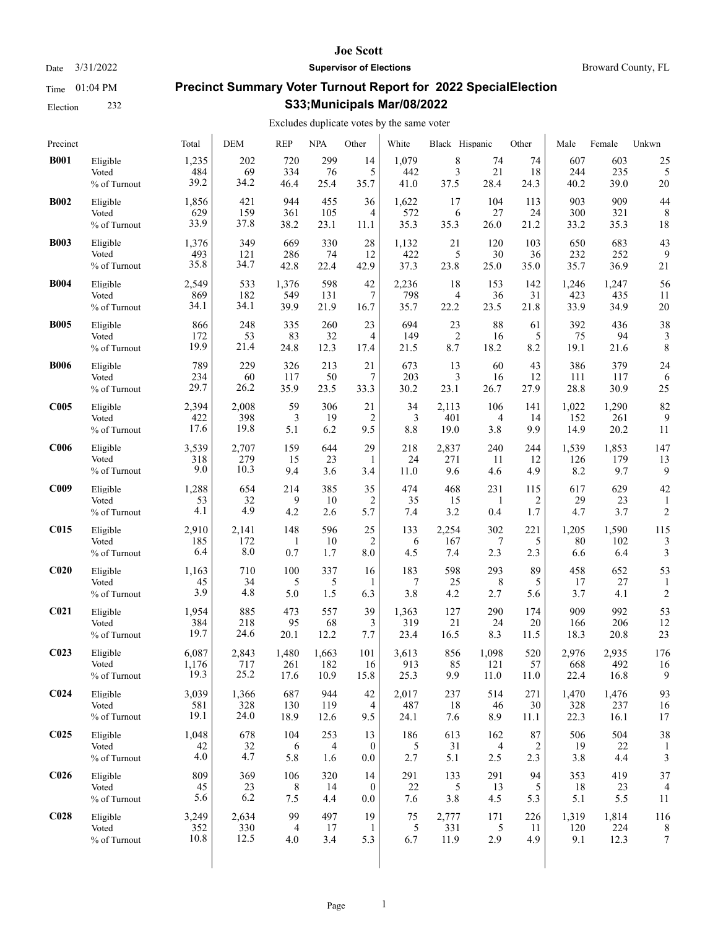Election 232

#### **Joe Scott**

Date  $3/31/2022$  **Supervisor of Elections** Broward County, FL

# **Precinct Summary Voter Turnout Report for 2022 SpecialElection S33;Municipals Mar/08/2022**

| Precinct         |                                   | Total              | <b>DEM</b>       | <b>REP</b>      | <b>NPA</b>       | Other                         | White            | Black Hispanic   |                 | Other               | Male             | Female           | Unkwn                |
|------------------|-----------------------------------|--------------------|------------------|-----------------|------------------|-------------------------------|------------------|------------------|-----------------|---------------------|------------------|------------------|----------------------|
| <b>B001</b>      | Eligible                          | 1,235              | 202              | 720             | 299              | 14                            | 1,079            | 8                | 74              | 74                  | 607              | 603              | 25                   |
|                  | Voted                             | 484                | 69               | 334             | 76               | 5                             | 442              | 3                | 21              | 18                  | 244              | 235              | 5                    |
|                  | % of Turnout                      | 39.2               | 34.2             | 46.4            | 25.4             | 35.7                          | 41.0             | 37.5             | 28.4            | 24.3                | 40.2             | 39.0             | 20                   |
| <b>B002</b>      | Eligible                          | 1,856              | 421              | 944             | 455              | 36                            | 1,622            | 17               | 104             | 113                 | 903              | 909              | 44                   |
|                  | Voted                             | 629                | 159              | 361             | 105              | 4                             | 572              | 6                | 27              | 24                  | 300              | 321              | 8                    |
|                  | % of Turnout                      | 33.9               | 37.8             | 38.2            | 23.1             | 11.1                          | 35.3             | 35.3             | 26.0            | 21.2                | 33.2             | 35.3             | 18                   |
| <b>B003</b>      | Eligible                          | 1,376              | 349              | 669             | 330              | 28                            | 1,132            | 21               | 120             | 103                 | 650              | 683              | 43                   |
|                  | Voted                             | 493                | 121              | 286             | 74               | 12                            | 422              | 5                | 30              | 36                  | 232              | 252              | 9                    |
|                  | % of Turnout                      | 35.8               | 34.7             | 42.8            | 22.4             | 42.9                          | 37.3             | 23.8             | 25.0            | 35.0                | 35.7             | 36.9             | 21                   |
| <b>B004</b>      | Eligible                          | 2,549              | 533              | 1,376           | 598              | 42                            | 2,236            | 18               | 153             | 142                 | 1,246            | 1,247            | 56                   |
|                  | Voted                             | 869                | 182              | 549             | 131              | 7                             | 798              | 4                | 36              | 31                  | 423              | 435              | 11                   |
|                  | % of Turnout                      | 34.1               | 34.1             | 39.9            | 21.9             | 16.7                          | 35.7             | 22.2             | 23.5            | 21.8                | 33.9             | 34.9             | 20                   |
| <b>B005</b>      | Eligible                          | 866                | 248              | 335             | 260              | 23                            | 694              | 23               | 88              | 61                  | 392              | 436              | 38                   |
|                  | Voted                             | 172                | 53               | 83              | 32               | 4                             | 149              | $\overline{2}$   | 16              | 5                   | 75               | 94               | 3                    |
|                  | % of Turnout                      | 19.9               | 21.4             | 24.8            | 12.3             | 17.4                          | 21.5             | 8.7              | 18.2            | 8.2                 | 19.1             | 21.6             | 8                    |
| <b>B006</b>      | Eligible                          | 789                | 229              | 326             | 213              | 21                            | 673              | 13               | 60              | 43                  | 386              | 379              | 24                   |
|                  | Voted                             | 234                | 60               | 117             | 50               | 7                             | 203              | 3                | 16              | 12                  | 111              | 117              | 6                    |
|                  | % of Turnout                      | 29.7               | 26.2             | 35.9            | 23.5             | 33.3                          | 30.2             | 23.1             | 26.7            | 27.9                | 28.8             | 30.9             | 25                   |
| C <sub>005</sub> | Eligible                          | 2,394              | 2,008            | 59              | 306              | 21                            | 34               | 2,113            | 106             | 141                 | 1,022            | 1,290            | 82                   |
|                  | Voted                             | 422                | 398              | 3               | 19               | $\overline{2}$                | 3                | 401              | 4               | 14                  | 152              | 261              | 9                    |
|                  | % of Turnout                      | 17.6               | 19.8             | 5.1             | 6.2              | 9.5                           | 8.8              | 19.0             | 3.8             | 9.9                 | 14.9             | 20.2             | 11                   |
| C <sub>006</sub> | Eligible                          | 3,539              | 2,707            | 159             | 644              | 29                            | 218              | 2,837            | 240             | 244                 | 1,539            | 1,853            | 147                  |
|                  | Voted                             | 318                | 279              | 15              | 23               | 1                             | 24               | 271              | 11              | 12                  | 126              | 179              | 13                   |
|                  | % of Turnout                      | 9.0                | 10.3             | 9.4             | 3.6              | 3.4                           | 11.0             | 9.6              | 4.6             | 4.9                 | 8.2              | 9.7              | 9                    |
| C <sub>009</sub> | Eligible<br>Voted<br>% of Turnout | 1,288<br>53<br>4.1 | 654<br>32<br>4.9 | 214<br>9<br>4.2 | 385<br>10<br>2.6 | 35<br>2<br>5.7                | 474<br>35<br>7.4 | 468<br>15<br>3.2 | 231<br>1<br>0.4 | 115<br>2<br>$1.7\,$ | 617<br>29<br>4.7 | 629<br>23<br>3.7 | 42<br>$\overline{c}$ |
| <b>C015</b>      | Eligible                          | 2,910              | 2,141            | 148             | 596              | 25                            | 133              | 2,254            | 302             | 221                 | 1,205            | 1,590            | 115                  |
|                  | Voted                             | 185                | 172              | -1              | 10               | $\overline{2}$                | 6                | 167              | 7               | 5                   | 80               | 102              | 3                    |
|                  | % of Turnout                      | 6.4                | 8.0              | 0.7             | 1.7              | 8.0                           | 4.5              | 7.4              | 2.3             | 2.3                 | 6.6              | 6.4              | 3                    |
| C <sub>020</sub> | Eligible<br>Voted<br>% of Turnout | 1,163<br>45<br>3.9 | 710<br>34<br>4.8 | 100<br>5<br>5.0 | 337<br>5<br>1.5  | 16<br>1<br>6.3                | 183<br>7<br>3.8  | 598<br>25<br>4.2 | 293<br>8<br>2.7 | 89<br>5<br>5.6      | 458<br>17<br>3.7 | 652<br>27<br>4.1 | 53<br>$\overline{c}$ |
| C <sub>021</sub> | Eligible                          | 1,954              | 885              | 473             | 557              | 39                            | 1,363            | 127              | 290             | 174                 | 909              | 992              | 53                   |
|                  | Voted                             | 384                | 218              | 95              | 68               | 3                             | 319              | 21               | 24              | 20                  | 166              | 206              | 12                   |
|                  | % of Turnout                      | 19.7               | 24.6             | 20.1            | 12.2             | 7.7                           | 23.4             | 16.5             | 8.3             | 11.5                | 18.3             | 20.8             | 23                   |
| C <sub>023</sub> | Eligible                          | 6,087              | 2,843            | 1,480           | 1,663            | 101                           | 3,613            | 856              | 1,098           | 520                 | 2,976            | 2,935            | 176                  |
|                  | Voted                             | 1,176              | 717              | 261             | 182              | 16                            | 913              | 85               | 121             | 57                  | 668              | 492              | 16                   |
|                  | % of Turnout                      | 19.3               | 25.2             | 17.6            | 10.9             | 15.8                          | 25.3             | 9.9              | 11.0            | 11.0                | 22.4             | 16.8             | 9                    |
| C <sub>024</sub> | Eligible                          | 3,039              | 1,366            | 687             | 944              | 42                            | 2,017            | 237              | 514             | 271                 | 1,470            | 1,476            | 93                   |
|                  | Voted                             | 581                | 328              | 130             | 119              | 4                             | 487              | 18               | 46              | 30                  | 328              | 237              | 16                   |
|                  | % of Turnout                      | 19.1               | 24.0             | 18.9            | 12.6             | 9.5                           | 24.1             | 7.6              | 8.9             | 11.1                | 22.3             | 16.1             | 17                   |
| C <sub>025</sub> | Eligible<br>Voted<br>% of Turnout | 1,048<br>42<br>4.0 | 678<br>32<br>4.7 | 104<br>6<br>5.8 | 253<br>4<br>1.6  | 13<br>$\mathbf{0}$<br>$0.0\,$ | 186<br>5<br>2.7  | 613<br>31<br>5.1 | 162<br>4<br>2.5 | 87<br>2<br>2.3      | 506<br>19<br>3.8 | 504<br>22<br>4.4 | 38<br>3              |
| C <sub>026</sub> | Eligible                          | 809                | 369              | 106             | 320              | 14                            | 291              | 133              | 291             | 94                  | 353              | 419              | 37                   |
|                  | Voted                             | 45                 | 23               | 8               | 14               | $\mathbf{0}$                  | 22               | 5                | 13              | 5                   | 18               | 23               | 4                    |
|                  | % of Turnout                      | 5.6                | 6.2              | 7.5             | 4.4              | $0.0\,$                       | 7.6              | 3.8              | 4.5             | 5.3                 | 5.1              | 5.5              | 11                   |
| C <sub>028</sub> | Eligible                          | 3,249              | 2,634            | 99              | 497              | 19                            | 75               | 2,777            | 171             | 226                 | 1,319            | 1,814            | 116                  |
|                  | Voted                             | 352                | 330              | 4               | 17               | -1                            | 5                | 331              | 5               | 11                  | 120              | 224              | 8                    |
|                  | % of Turnout                      | 10.8               | 12.5             | 4.0             | 3.4              | 5.3                           | 6.7              | 11.9             | 2.9             | 4.9                 | 9.1              | 12.3             | 7                    |
|                  |                                   |                    |                  |                 |                  |                               |                  |                  |                 |                     |                  |                  |                      |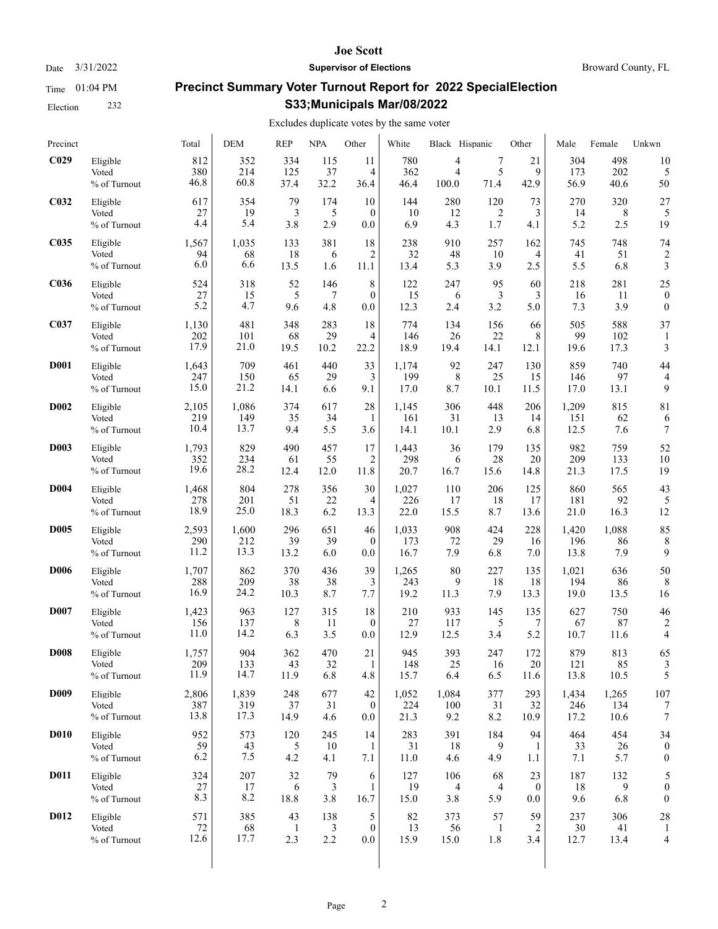Time 01:04 PM Election 232 **Joe Scott**

# **Precinct Summary Voter Turnout Report for 2022 SpecialElection S33;Municipals Mar/08/2022**

Excludes duplicate votes by the same voter

| Precinct         |                                   | Total                | DEM                | <b>REP</b>                | <b>NPA</b>        | Other                    | White              | Black Hispanic    |                           | Other           | Male              | Female             | Unkwn            |
|------------------|-----------------------------------|----------------------|--------------------|---------------------------|-------------------|--------------------------|--------------------|-------------------|---------------------------|-----------------|-------------------|--------------------|------------------|
| C <sub>029</sub> | Eligible                          | 812                  | 352                | 334                       | 115               | 11                       | 780                | 4                 | 7                         | 21              | 304               | 498                | 10               |
|                  | Voted                             | 380                  | 214                | 125                       | 37                | 4                        | 362                | 4                 | 5                         | 9               | 173               | 202                | 5                |
|                  | % of Turnout                      | 46.8                 | 60.8               | 37.4                      | 32.2              | 36.4                     | 46.4               | 100.0             | 71.4                      | 42.9            | 56.9              | 40.6               | 50               |
| C <sub>032</sub> | Eligible                          | 617                  | 354                | 79                        | 174               | 10                       | 144                | 280               | 120                       | 73              | 270               | 320                | 27               |
|                  | Voted                             | 27                   | 19                 | 3                         | 5                 | $\mathbf{0}$             | 10                 | 12                | $\overline{2}$            | 3               | 14                | 8                  | 5                |
|                  | % of Turnout                      | 4.4                  | 5.4                | 3.8                       | 2.9               | 0.0                      | 6.9                | 4.3               | 1.7                       | 4.1             | 5.2               | 2.5                | 19               |
| C035             | Eligible                          | 1,567                | 1,035              | 133                       | 381               | 18                       | 238                | 910               | 257                       | 162             | 745               | 748                | 74               |
|                  | Voted                             | 94                   | 68                 | 18                        | 6                 | 2                        | 32                 | 48                | 10                        | 4               | 41                | 51                 | $\overline{c}$   |
|                  | % of Turnout                      | 6.0                  | 6.6                | 13.5                      | 1.6               | 11.1                     | 13.4               | 5.3               | 3.9                       | 2.5             | 5.5               | 6.8                | 3                |
| <b>C036</b>      | Eligible                          | 524                  | 318                | 52                        | 146               | 8                        | 122                | 247               | 95                        | 60              | 218               | 281                | 25               |
|                  | Voted                             | 27                   | 15                 | 5                         | 7                 | $\theta$                 | 15                 | 6                 | 3                         | 3               | 16                | 11                 | $\boldsymbol{0}$ |
|                  | % of Turnout                      | 5.2                  | 4.7                | 9.6                       | 4.8               | 0.0                      | 12.3               | 2.4               | 3.2                       | 5.0             | 7.3               | 3.9                | $\boldsymbol{0}$ |
| C037             | Eligible<br>Voted<br>% of Turnout | 1,130<br>202<br>17.9 | 481<br>101<br>21.0 | 348<br>68<br>19.5         | 283<br>29<br>10.2 | 18<br>4<br>22.2          | 774<br>146<br>18.9 | 134<br>26<br>19.4 | 156<br>22<br>14.1         | 66<br>8<br>12.1 | 505<br>99<br>19.6 | 588<br>102<br>17.3 | 37<br>3          |
| <b>D001</b>      | Eligible                          | 1,643                | 709                | 461                       | 440               | 33                       | 1,174              | 92                | 247                       | 130             | 859               | 740                | 44               |
|                  | Voted                             | 247                  | 150                | 65                        | 29                | 3                        | 199                | 8                 | 25                        | 15              | 146               | 97                 | 4                |
|                  | % of Turnout                      | 15.0                 | 21.2               | 14.1                      | 6.6               | 9.1                      | 17.0               | 8.7               | 10.1                      | 11.5            | 17.0              | 13.1               | 9                |
| <b>D002</b>      | Eligible                          | 2,105                | 1,086              | 374                       | 617               | 28                       | 1,145              | 306               | 448                       | 206             | 1,209             | 815                | 81               |
|                  | Voted                             | 219                  | 149                | 35                        | 34                | 1                        | 161                | 31                | 13                        | 14              | 151               | 62                 | 6                |
|                  | % of Turnout                      | 10.4                 | 13.7               | 9.4                       | 5.5               | 3.6                      | 14.1               | 10.1              | 2.9                       | 6.8             | 12.5              | 7.6                | 7                |
| <b>D003</b>      | Eligible                          | 1,793                | 829                | 490                       | 457               | 17                       | 1,443              | 36                | 179                       | 135             | 982               | 759                | 52               |
|                  | Voted                             | 352                  | 234                | 61                        | 55                | 2                        | 298                | 6                 | 28                        | 20              | 209               | 133                | 10               |
|                  | % of Turnout                      | 19.6                 | 28.2               | 12.4                      | 12.0              | 11.8                     | 20.7               | 16.7              | 15.6                      | 14.8            | 21.3              | 17.5               | 19               |
| <b>D004</b>      | Eligible                          | 1,468                | 804                | 278                       | 356               | 30                       | 1,027              | 110               | 206                       | 125             | 860               | 565                | 43               |
|                  | Voted                             | 278                  | 201                | 51                        | 22                | 4                        | 226                | 17                | 18                        | 17              | 181               | 92                 | 5                |
|                  | % of Turnout                      | 18.9                 | 25.0               | 18.3                      | 6.2               | 13.3                     | 22.0               | 15.5              | 8.7                       | 13.6            | 21.0              | 16.3               | 12               |
| <b>D005</b>      | Eligible                          | 2,593                | 1,600              | 296                       | 651               | 46                       | 1,033              | 908               | 424                       | 228             | 1,420             | 1,088              | 85               |
|                  | Voted                             | 290                  | 212                | 39                        | 39                | $\mathbf{0}$             | 173                | 72                | 29                        | 16              | 196               | 86                 | 8                |
|                  | % of Turnout                      | 11.2                 | 13.3               | 13.2                      | 6.0               | 0.0                      | 16.7               | 7.9               | 6.8                       | 7.0             | 13.8              | 7.9                | 9                |
| <b>D006</b>      | Eligible                          | 1,707                | 862                | 370                       | 436               | 39                       | 1,265              | 80                | 227                       | 135             | 1,021             | 636                | 50               |
|                  | Voted                             | 288                  | 209                | 38                        | 38                | 3                        | 243                | 9                 | 18                        | 18              | 194               | 86                 | 8                |
|                  | % of Turnout                      | 16.9                 | 24.2               | 10.3                      | 8.7               | 7.7                      | 19.2               | 11.3              | 7.9                       | 13.3            | 19.0              | 13.5               | 16               |
| <b>D007</b>      | Eligible                          | 1,423                | 963                | 127                       | 315               | 18                       | 210                | 933               | 145                       | 135             | 627               | 750                | 46               |
|                  | Voted                             | 156                  | 137                | 8                         | 11                | $\mathbf{0}$             | 27                 | 117               | 5                         | 7               | 67                | 87                 | 2                |
|                  | % of Turnout                      | 11.0                 | 14.2               | 6.3                       | 3.5               | 0.0                      | 12.9               | 12.5              | 3.4                       | 5.2             | 10.7              | 11.6               | 4                |
| <b>D008</b>      | Eligible                          | 1,757                | 904                | 362                       | 470               | 21                       | 945                | 393               | 247                       | 172             | 879               | 813                | 65               |
|                  | Voted                             | 209                  | 133                | 43                        | 32                | -1                       | 148                | 25                | 16                        | 20              | 121               | 85                 | 3                |
|                  | % of Turnout                      | 11.9                 | 14.7               | 11.9                      | 6.8               | 4.8                      | 15.7               | 6.4               | 6.5                       | 11.6            | 13.8              | 10.5               | 5                |
| <b>D009</b>      | Eligible                          | 2,806                | 1,839              | 248                       | 677               | 42                       | 1,052              | 1,084             | 377                       | 293             | 1,434             | 1,265              | 107              |
|                  | Voted                             | 387                  | 319                | 37                        | 31                | $\mathbf{0}$             | 224                | 100               | 31                        | 32              | 246               | 134                | 7                |
|                  | % of Turnout                      | 13.8                 | 17.3               | 14.9                      | 4.6               | 0.0                      | 21.3               | 9.2               | 8.2                       | 10.9            | 17.2              | 10.6               | 7                |
| <b>D010</b>      | Eligible                          | 952                  | 573                | 120                       | 245               | 14                       | 283                | 391               | 184                       | 94              | 464               | 454                | 34               |
|                  | Voted                             | 59                   | 43                 | 5                         | 10                | -1                       | 31                 | 18                | 9                         | -1              | 33                | 26                 | $\boldsymbol{0}$ |
|                  | % of Turnout                      | 6.2                  | 7.5                | 4.2                       | 4.1               | 7.1                      | 11.0               | 4.6               | 4.9                       | 1.1             | 7.1               | 5.7                | 0                |
| <b>D011</b>      | Eligible                          | 324                  | 207                | 32                        | 79                | 6                        | 127                | 106               | 68                        | 23              | 187               | 132                | 5                |
|                  | Voted                             | 27                   | 17                 | 6                         | 3                 | 1                        | 19                 | 4                 | 4                         | $\bf{0}$        | 18                | 9                  | $\boldsymbol{0}$ |
|                  | % of Turnout                      | 8.3                  | 8.2                | 18.8                      | 3.8               | 16.7                     | 15.0               | 3.8               | 5.9                       | 0.0             | 9.6               | 6.8                | $\boldsymbol{0}$ |
| <b>D012</b>      | Eligible<br>Voted<br>% of Turnout | 571<br>72<br>12.6    | 385<br>68<br>17.7  | 43<br>$\mathbf{1}$<br>2.3 | 138<br>3<br>2.2   | 5<br>$\mathbf{0}$<br>0.0 | 82<br>13<br>15.9   | 373<br>56<br>15.0 | 57<br>$\mathbf{1}$<br>1.8 | 59<br>2<br>3.4  | 237<br>30<br>12.7 | 306<br>41<br>13.4  | 28<br>4          |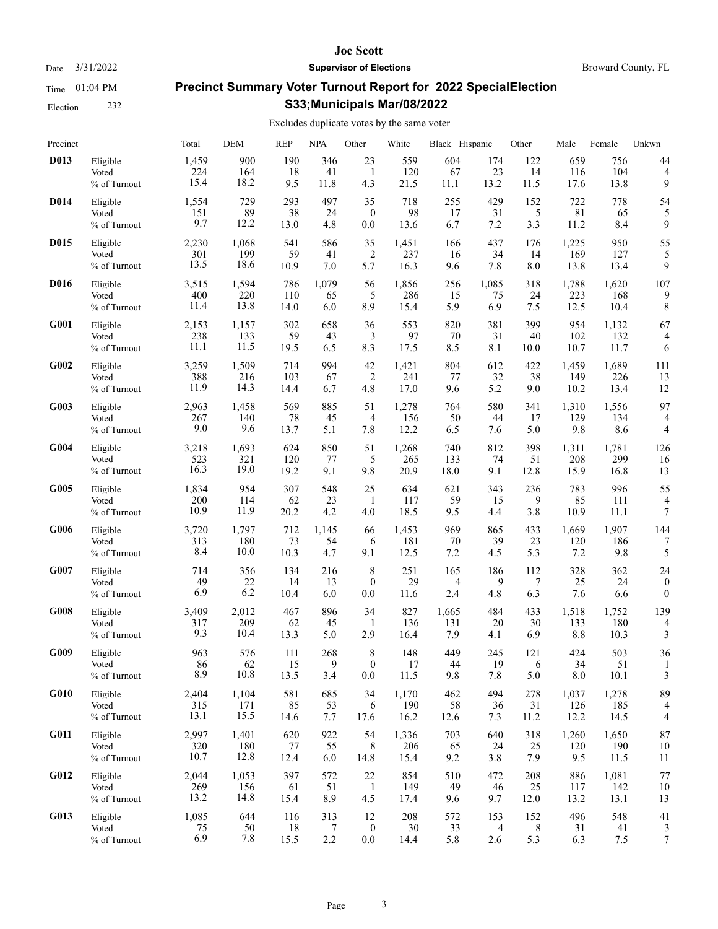Election 232

#### **Joe Scott**

Date  $3/31/2022$  **Supervisor of Elections** Broward County, FL

# **Precinct Summary Voter Turnout Report for 2022 SpecialElection S33;Municipals Mar/08/2022**

### Excludes duplicate votes by the same voter

| Precinct    |              | Total | <b>DEM</b> | <b>REP</b> | <b>NPA</b> | Other            | White | Black Hispanic |                | Other | Male  | Female | Unkwn                    |
|-------------|--------------|-------|------------|------------|------------|------------------|-------|----------------|----------------|-------|-------|--------|--------------------------|
| D013        | Eligible     | 1,459 | 900        | 190        | 346        | 23               | 559   | 604            | 174            | 122   | 659   | 756    | 44                       |
|             | Voted        | 224   | 164        | 18         | 41         | 1                | 120   | 67             | 23             | 14    | 116   | 104    | $\overline{4}$           |
|             | % of Turnout | 15.4  | 18.2       | 9.5        | 11.8       | 4.3              | 21.5  | $11.1\,$       | 13.2           | 11.5  | 17.6  | 13.8   | 9                        |
| <b>D014</b> | Eligible     | 1,554 | 729        | 293        | 497        | 35               | 718   | 255            | 429            | 152   | 722   | 778    | 54                       |
|             | Voted        | 151   | 89         | 38         | 24         | $\mathbf{0}$     | 98    | 17             | 31             | 5     | 81    | 65     | 5                        |
|             | % of Turnout | 9.7   | 12.2       | 13.0       | 4.8        | 0.0              | 13.6  | 6.7            | 7.2            | 3.3   | 11.2  | 8.4    | 9                        |
| D015        | Eligible     | 2,230 | 1,068      | 541        | 586        | 35               | 1,451 | 166            | 437            | 176   | 1,225 | 950    | 55                       |
|             | Voted        | 301   | 199        | 59         | 41         | $\overline{c}$   | 237   | 16             | 34             | 14    | 169   | 127    | 5                        |
|             | % of Turnout | 13.5  | 18.6       | 10.9       | 7.0        | 5.7              | 16.3  | 9.6            | 7.8            | 8.0   | 13.8  | 13.4   | 9                        |
| <b>D016</b> | Eligible     | 3,515 | 1,594      | 786        | 1,079      | 56               | 1,856 | 256            | 1,085          | 318   | 1,788 | 1,620  | 107                      |
|             | Voted        | 400   | 220        | 110        | 65         | 5                | 286   | 15             | 75             | 24    | 223   | 168    | 9                        |
|             | % of Turnout | 11.4  | 13.8       | 14.0       | 6.0        | 8.9              | 15.4  | 5.9            | 6.9            | 7.5   | 12.5  | 10.4   | 8                        |
| G001        | Eligible     | 2,153 | 1,157      | 302        | 658        | 36               | 553   | 820            | 381            | 399   | 954   | 1,132  | 67                       |
|             | Voted        | 238   | 133        | 59         | 43         | 3                | 97    | 70             | 31             | 40    | 102   | 132    | $\overline{4}$           |
|             | % of Turnout | 11.1  | 11.5       | 19.5       | 6.5        | 8.3              | 17.5  | 8.5            | 8.1            | 10.0  | 10.7  | 11.7   | 6                        |
| G002        | Eligible     | 3,259 | 1,509      | 714        | 994        | 42               | 1,421 | 804            | 612            | 422   | 1,459 | 1,689  | 111                      |
|             | Voted        | 388   | 216        | 103        | 67         | $\overline{2}$   | 241   | 77             | 32             | 38    | 149   | 226    | 13                       |
|             | % of Turnout | 11.9  | 14.3       | 14.4       | 6.7        | 4.8              | 17.0  | 9.6            | 5.2            | 9.0   | 10.2  | 13.4   | 12                       |
| G003        | Eligible     | 2,963 | 1,458      | 569        | 885        | 51               | 1,278 | 764            | 580            | 341   | 1,310 | 1,556  | 97                       |
|             | Voted        | 267   | 140        | 78         | 45         | 4                | 156   | 50             | 44             | 17    | 129   | 134    | $\overline{4}$           |
|             | % of Turnout | 9.0   | 9.6        | 13.7       | 5.1        | 7.8              | 12.2  | 6.5            | 7.6            | 5.0   | 9.8   | 8.6    | 4                        |
| G004        | Eligible     | 3,218 | 1,693      | 624        | 850        | 51               | 1,268 | 740            | 812            | 398   | 1,311 | 1,781  | 126                      |
|             | Voted        | 523   | 321        | 120        | 77         | 5                | 265   | 133            | 74             | 51    | 208   | 299    | 16                       |
|             | % of Turnout | 16.3  | 19.0       | 19.2       | 9.1        | 9.8              | 20.9  | 18.0           | 9.1            | 12.8  | 15.9  | 16.8   | 13                       |
| G005        | Eligible     | 1,834 | 954        | 307        | 548        | 25               | 634   | 621            | 343            | 236   | 783   | 996    | 55                       |
|             | Voted        | 200   | 114        | 62         | 23         | 1                | 117   | 59             | 15             | 9     | 85    | 111    | $\overline{4}$           |
|             | % of Turnout | 10.9  | 11.9       | 20.2       | 4.2        | 4.0              | 18.5  | 9.5            | 4.4            | 3.8   | 10.9  | 11.1   | 7                        |
| G006        | Eligible     | 3,720 | 1,797      | 712        | 1,145      | 66               | 1,453 | 969            | 865            | 433   | 1,669 | 1,907  | 144                      |
|             | Voted        | 313   | 180        | 73         | 54         | 6                | 181   | 70             | 39             | 23    | 120   | 186    | 7                        |
|             | % of Turnout | 8.4   | 10.0       | 10.3       | 4.7        | 9.1              | 12.5  | 7.2            | 4.5            | 5.3   | 7.2   | 9.8    | 5                        |
| <b>G007</b> | Eligible     | 714   | 356        | 134        | 216        | 8                | 251   | 165            | 186            | 112   | 328   | 362    | 24                       |
|             | Voted        | 49    | 22         | 14         | 13         | $\mathbf{0}$     | 29    | 4              | 9              | 7     | 25    | 24     | $\boldsymbol{0}$         |
|             | % of Turnout | 6.9   | 6.2        | 10.4       | 6.0        | 0.0              | 11.6  | 2.4            | 4.8            | 6.3   | 7.6   | 6.6    | $\mathbf{0}$             |
| G008        | Eligible     | 3,409 | 2,012      | 467        | 896        | 34               | 827   | 1,665          | 484            | 433   | 1,518 | 1,752  | 139                      |
|             | Voted        | 317   | 209        | 62         | 45         | 1                | 136   | 131            | 20             | 30    | 133   | 180    | $\overline{\mathcal{L}}$ |
|             | % of Turnout | 9.3   | 10.4       | 13.3       | 5.0        | 2.9              | 16.4  | 7.9            | 4.1            | 6.9   | 8.8   | 10.3   | 3                        |
| G009        | Eligible     | 963   | 576        | 111        | 268        | 8                | 148   | 449            | 245            | 121   | 424   | 503    | 36                       |
|             | Voted        | 86    | 62         | 15         | 9          | $\Omega$         | 17    | 44             | 19             | 6     | 34    | 51     | 1                        |
|             | % of Turnout | 8.9   | 10.8       | 13.5       | 3.4        | 0.0              | 11.5  | 9.8            | 7.8            | 5.0   | 8.0   | 10.1   | 3                        |
| G010        | Eligible     | 2,404 | 1,104      | 581        | 685        | 34               | 1,170 | 462            | 494            | 278   | 1,037 | 1,278  | 89                       |
|             | Voted        | 315   | 171        | 85         | 53         | 6                | 190   | 58             | 36             | 31    | 126   | 185    | $\overline{4}$           |
|             | % of Turnout | 13.1  | 15.5       | 14.6       | 7.7        | 17.6             | 16.2  | 12.6           | 7.3            | 11.2  | 12.2  | 14.5   | 4                        |
| G011        | Eligible     | 2,997 | 1,401      | 620        | 922        | 54               | 1,336 | 703            | 640            | 318   | 1,260 | 1,650  | 87                       |
|             | Voted        | 320   | 180        | 77         | 55         | 8                | 206   | 65             | 24             | 25    | 120   | 190    | 10                       |
|             | % of Turnout | 10.7  | 12.8       | 12.4       | 6.0        | 14.8             | 15.4  | 9.2            | 3.8            | 7.9   | 9.5   | 11.5   | 11                       |
| G012        | Eligible     | 2,044 | 1,053      | 397        | 572        | 22               | 854   | 510            | 472            | 208   | 886   | 1,081  | 77                       |
|             | Voted        | 269   | 156        | 61         | 51         | -1               | 149   | 49             | 46             | 25    | 117   | 142    | 10                       |
|             | % of Turnout | 13.2  | 14.8       | 15.4       | 8.9        | 4.5              | 17.4  | 9.6            | 9.7            | 12.0  | 13.2  | 13.1   | 13                       |
| G013        | Eligible     | 1,085 | 644        | 116        | 313        | 12               | 208   | 572            | 153            | 152   | 496   | 548    | 41                       |
|             | Voted        | 75    | 50         | 18         | 7          | $\boldsymbol{0}$ | 30    | 33             | $\overline{4}$ | 8     | 31    | 41     | 3                        |
|             | % of Turnout | 6.9   | 7.8        | 15.5       | 2.2        | $0.0\,$          | 14.4  | 5.8            | 2.6            | 5.3   | 6.3   | 7.5    | 7                        |
|             |              |       |            |            |            |                  |       |                |                |       |       |        |                          |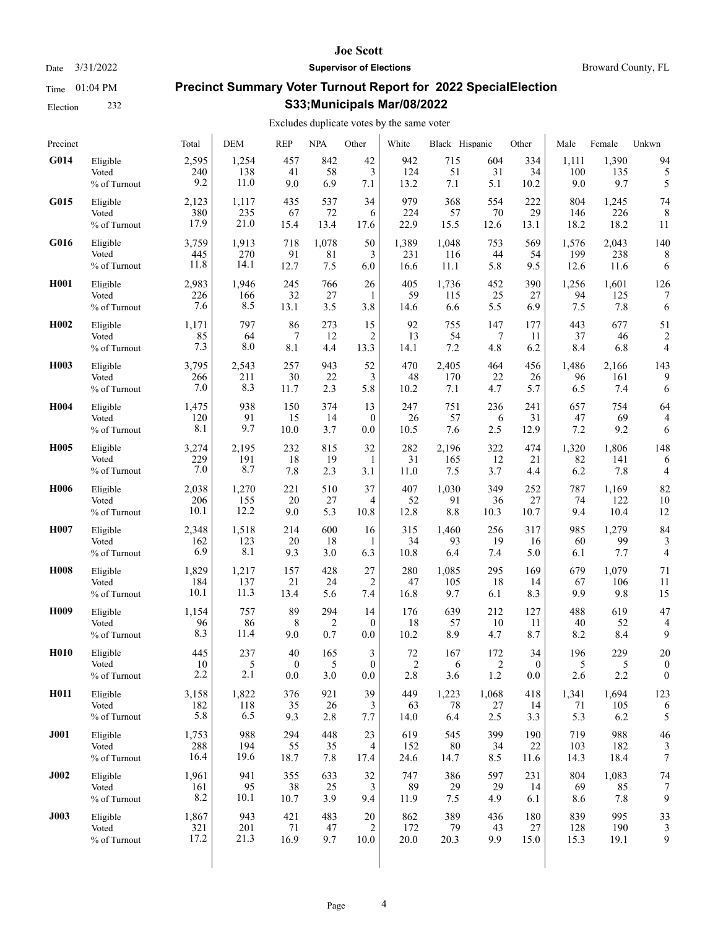Election 232

#### **Joe Scott**

Date  $3/31/2022$  **Supervisor of Elections** Broward County, FL

# **Precinct Summary Voter Turnout Report for 2022 SpecialElection S33;Municipals Mar/08/2022**

## Excludes duplicate votes by the same voter

| Precinct          |                                   | Total                | <b>DEM</b>         | <b>REP</b>        | <b>NPA</b>       | Other           | White              | Black Hispanic    |                  | Other             | Male               | Female             | Unkwn            |
|-------------------|-----------------------------------|----------------------|--------------------|-------------------|------------------|-----------------|--------------------|-------------------|------------------|-------------------|--------------------|--------------------|------------------|
| G014              | Eligible                          | 2,595                | 1,254              | 457               | 842              | 42              | 942                | 715               | 604              | 334               | 1,111              | 1,390              | 94               |
|                   | Voted                             | 240                  | 138                | 41                | 58               | 3               | 124                | 51                | 31               | 34                | 100                | 135                | 5                |
|                   | % of Turnout                      | 9.2                  | 11.0               | 9.0               | 6.9              | 7.1             | 13.2               | 7.1               | 5.1              | 10.2              | 9.0                | 9.7                | 5                |
| G015              | Eligible                          | 2,123                | 1,117              | 435               | 537              | 34              | 979                | 368               | 554              | 222               | 804                | 1,245              | 74               |
|                   | Voted                             | 380                  | 235                | 67                | 72               | 6               | 224                | 57                | 70               | 29                | 146                | 226                | 8                |
|                   | % of Turnout                      | 17.9                 | 21.0               | 15.4              | 13.4             | 17.6            | 22.9               | 15.5              | 12.6             | 13.1              | 18.2               | 18.2               | 11               |
| G016              | Eligible                          | 3,759                | 1,913              | 718               | 1,078            | 50              | 1,389              | 1,048             | 753              | 569               | 1,576              | 2,043              | 140              |
|                   | Voted                             | 445                  | 270                | 91                | 81               | 3               | 231                | 116               | 44               | 54                | 199                | 238                | 8                |
|                   | % of Turnout                      | 11.8                 | 14.1               | 12.7              | 7.5              | 6.0             | 16.6               | 11.1              | 5.8              | 9.5               | 12.6               | 11.6               | 6                |
| H <sub>001</sub>  | Eligible                          | 2,983                | 1,946              | 245               | 766              | 26              | 405                | 1,736             | 452              | 390               | 1,256              | 1,601              | 126              |
|                   | Voted                             | 226                  | 166                | 32                | 27               | 1               | 59                 | 115               | 25               | 27                | 94                 | 125                | 7                |
|                   | % of Turnout                      | 7.6                  | 8.5                | 13.1              | 3.5              | 3.8             | 14.6               | 6.6               | 5.5              | 6.9               | 7.5                | 7.8                | 6                |
| H <sub>0</sub> 02 | Eligible                          | 1,171                | 797                | 86                | 273              | 15              | 92                 | 755               | 147              | 177               | 443                | 677                | 51               |
|                   | Voted                             | 85                   | 64                 | 7                 | 12               | $\overline{2}$  | 13                 | 54                | 7                | 11                | 37                 | 46                 | $\overline{2}$   |
|                   | % of Turnout                      | 7.3                  | 8.0                | 8.1               | 4.4              | 13.3            | 14.1               | 7.2               | 4.8              | 6.2               | 8.4                | 6.8                | 4                |
| H003              | Eligible                          | 3,795                | 2,543              | 257               | 943              | 52              | 470                | 2,405             | 464              | 456               | 1,486              | 2,166              | 143              |
|                   | Voted                             | 266                  | 211                | 30                | 22               | 3               | 48                 | 170               | 22               | 26                | 96                 | 161                | 9                |
|                   | % of Turnout                      | 7.0                  | 8.3                | 11.7              | 2.3              | 5.8             | 10.2               | 7.1               | 4.7              | 5.7               | 6.5                | 7.4                | 6                |
| H004              | Eligible                          | 1,475                | 938                | 150               | 374              | 13              | 247                | 751               | 236              | 241               | 657                | 754                | 64               |
|                   | Voted                             | 120                  | 91                 | 15                | 14               | $\mathbf{0}$    | 26                 | 57                | 6                | 31                | 47                 | 69                 | 4                |
|                   | % of Turnout                      | 8.1                  | 9.7                | 10.0              | 3.7              | 0.0             | 10.5               | 7.6               | 2.5              | 12.9              | 7.2                | 9.2                | 6                |
| H <sub>005</sub>  | Eligible                          | 3,274                | 2,195              | 232               | 815              | 32              | 282                | 2,196             | 322              | 474               | 1,320              | 1,806              | 148              |
|                   | Voted                             | 229                  | 191                | 18                | 19               | 1               | 31                 | 165               | 12               | 21                | 82                 | 141                | 6                |
|                   | % of Turnout                      | 7.0                  | 8.7                | 7.8               | 2.3              | 3.1             | 11.0               | 7.5               | 3.7              | 4.4               | 6.2                | 7.8                | 4                |
| H006              | Eligible                          | 2,038                | 1,270              | 221               | 510              | 37              | 407                | 1,030             | 349              | 252               | 787                | 1,169              | 82               |
|                   | Voted                             | 206                  | 155                | 20                | 27               | 4               | 52                 | 91                | 36               | 27                | 74                 | 122                | 10               |
|                   | % of Turnout                      | 10.1                 | 12.2               | 9.0               | 5.3              | 10.8            | 12.8               | 8.8               | 10.3             | 10.7              | 9.4                | 10.4               | 12               |
| H007              | Eligible                          | 2,348                | 1,518              | 214               | 600              | 16              | 315                | 1,460             | 256              | 317               | 985                | 1,279              | 84               |
|                   | Voted                             | 162                  | 123                | 20                | 18               | 1               | 34                 | 93                | 19               | 16                | 60                 | 99                 | 3                |
|                   | % of Turnout                      | 6.9                  | 8.1                | 9.3               | 3.0              | 6.3             | 10.8               | 6.4               | 7.4              | 5.0               | 6.1                | 7.7                | 4                |
| H <sub>008</sub>  | Eligible                          | 1,829                | 1,217              | 157               | 428              | 27              | 280                | 1,085             | 295              | 169               | 679                | 1,079              | 71               |
|                   | Voted                             | 184                  | 137                | 21                | 24               | $\overline{2}$  | 47                 | 105               | 18               | 14                | 67                 | 106                | 11               |
|                   | % of Turnout                      | 10.1                 | 11.3               | 13.4              | 5.6              | 7.4             | 16.8               | 9.7               | 6.1              | 8.3               | 9.9                | 9.8                | 15               |
| H <sub>009</sub>  | Eligible                          | 1,154                | 757                | 89                | 294              | 14              | 176                | 639               | 212              | 127               | 488                | 619                | 47               |
|                   | Voted                             | 96                   | 86                 | 8                 | 2                | $\mathbf{0}$    | 18                 | 57                | 10               | 11                | 40                 | 52                 | 4                |
|                   | % of Turnout                      | 8.3                  | 11.4               | 9.0               | 0.7              | 0.0             | 10.2               | 8.9               | 4.7              | 8.7               | 8.2                | 8.4                | 9                |
| H <sub>010</sub>  | Eligible                          | 445                  | 237                | 40                | 165              | 3               | 72                 | 167               | 172              | 34                | 196                | 229                | 20               |
|                   | Voted                             | 10                   | 5                  | $\boldsymbol{0}$  | 5                | $\overline{0}$  | $\mathfrak{D}$     | 6                 | 2                | $\mathbf{0}$      | 5                  | 5                  | $\boldsymbol{0}$ |
|                   | % of Turnout                      | 2.2                  | 2.1                | 0.0               | 3.0              | 0.0             | 2.8                | 3.6               | 1.2              | 0.0               | 2.6                | 2.2                | $\boldsymbol{0}$ |
| H011              | Eligible                          | 3,158                | 1,822              | 376               | 921              | 39              | 449                | 1,223             | 1,068            | 418               | 1,341              | 1,694              | 123              |
|                   | Voted                             | 182                  | 118                | 35                | 26               | 3               | 63                 | 78                | 27               | 14                | 71                 | 105                | 6                |
|                   | % of Turnout                      | 5.8                  | 6.5                | 9.3               | 2.8              | 7.7             | 14.0               | 6.4               | 2.5              | 3.3               | 5.3                | 6.2                | 5                |
| <b>J001</b>       | Eligible<br>Voted<br>% of Turnout | 1,753<br>288<br>16.4 | 988<br>194<br>19.6 | 294<br>55<br>18.7 | 448<br>35<br>7.8 | 23<br>4<br>17.4 | 619<br>152<br>24.6 | 545<br>80<br>14.7 | 399<br>34<br>8.5 | 190<br>22<br>11.6 | 719<br>103<br>14.3 | 988<br>182<br>18.4 | 46<br>7          |
| J002              | Eligible                          | 1,961                | 941                | 355               | 633              | 32              | 747                | 386               | 597              | 231               | 804                | 1,083              | 74               |
|                   | Voted                             | 161                  | 95                 | 38                | 25               | 3               | 89                 | 29                | 29               | 14                | 69                 | 85                 | 7                |
|                   | % of Turnout                      | 8.2                  | 10.1               | 10.7              | 3.9              | 9.4             | 11.9               | 7.5               | 4.9              | 6.1               | 8.6                | 7.8                | 9                |
| J003              | Eligible                          | 1,867                | 943                | 421               | 483              | 20              | 862                | 389               | 436              | 180               | 839                | 995                | 33               |
|                   | Voted                             | 321                  | 201                | 71                | 47               | $\overline{2}$  | 172                | 79                | 43               | 27                | 128                | 190                | 3                |
|                   | % of Turnout                      | 17.2                 | 21.3               | 16.9              | 9.7              | 10.0            | 20.0               | 20.3              | 9.9              | 15.0              | 15.3               | 19.1               | 9                |
|                   |                                   |                      |                    |                   |                  |                 |                    |                   |                  |                   |                    |                    |                  |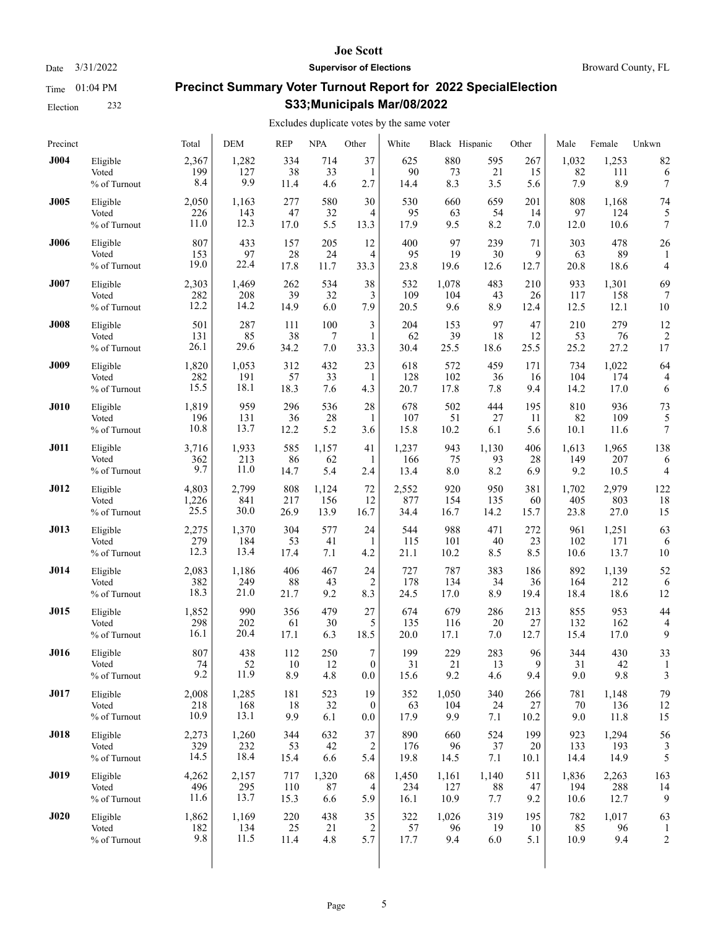Election 232

#### **Joe Scott**

Date  $3/31/2022$  **Supervisor of Elections** Broward County, FL

# **Precinct Summary Voter Turnout Report for 2022 SpecialElection S33;Municipals Mar/08/2022**

| Precinct    |                                   | Total                | <b>DEM</b>           | <b>REP</b>        | <b>NPA</b>        | Other                       | White              | Black Hispanic     |                   | Other             | Male               | Female               | Unkwn                |
|-------------|-----------------------------------|----------------------|----------------------|-------------------|-------------------|-----------------------------|--------------------|--------------------|-------------------|-------------------|--------------------|----------------------|----------------------|
| <b>J004</b> | Eligible                          | 2,367                | 1,282                | 334               | 714               | 37                          | 625                | 880                | 595               | 267               | 1,032              | 1,253                | 82                   |
|             | Voted                             | 199                  | 127                  | 38                | 33                | 1                           | 90                 | 73                 | 21                | 15                | 82                 | 111                  | 6                    |
|             | % of Turnout                      | 8.4                  | 9.9                  | 11.4              | 4.6               | 2.7                         | 14.4               | 8.3                | 3.5               | 5.6               | 7.9                | 8.9                  | 7                    |
| <b>J005</b> | Eligible                          | 2,050                | 1,163                | 277               | 580               | 30                          | 530                | 660                | 659               | 201               | 808                | 1,168                | 74                   |
|             | Voted                             | 226                  | 143                  | 47                | 32                | 4                           | 95                 | 63                 | 54                | 14                | 97                 | 124                  | 5                    |
|             | % of Turnout                      | 11.0                 | 12.3                 | 17.0              | 5.5               | 13.3                        | 17.9               | 9.5                | 8.2               | 7.0               | 12.0               | 10.6                 | 7                    |
| <b>J006</b> | Eligible<br>Voted<br>% of Turnout | 807<br>153<br>19.0   | 433<br>97<br>22.4    | 157<br>28<br>17.8 | 205<br>24<br>11.7 | 12<br>4<br>33.3             | 400<br>95<br>23.8  | 97<br>19<br>19.6   | 239<br>30<br>12.6 | 71<br>9<br>12.7   | 303<br>63<br>20.8  | 478<br>89<br>18.6    | 26<br>4              |
| <b>J007</b> | Eligible                          | 2,303                | 1,469                | 262               | 534               | 38                          | 532                | 1,078              | 483               | 210               | 933                | 1,301                | 69                   |
|             | Voted                             | 282                  | 208                  | 39                | 32                | 3                           | 109                | 104                | 43                | 26                | 117                | 158                  | 7                    |
|             | % of Turnout                      | 12.2                 | 14.2                 | 14.9              | 6.0               | 7.9                         | 20.5               | 9.6                | 8.9               | 12.4              | 12.5               | 12.1                 | 10                   |
| <b>J008</b> | Eligible                          | 501                  | 287                  | 111               | 100               | 3                           | 204                | 153                | 97                | 47                | 210                | 279                  | 12                   |
|             | Voted                             | 131                  | 85                   | 38                | 7                 | 1                           | 62                 | 39                 | 18                | 12                | 53                 | 76                   | $\overline{2}$       |
|             | % of Turnout                      | 26.1                 | 29.6                 | 34.2              | 7.0               | 33.3                        | 30.4               | 25.5               | 18.6              | 25.5              | 25.2               | 27.2                 | 17                   |
| <b>J009</b> | Eligible                          | 1,820                | 1,053                | 312               | 432               | 23                          | 618                | 572                | 459               | 171               | 734                | 1,022                | 64                   |
|             | Voted                             | 282                  | 191                  | 57                | 33                | 1                           | 128                | 102                | 36                | 16                | 104                | 174                  | 4                    |
|             | % of Turnout                      | 15.5                 | 18.1                 | 18.3              | 7.6               | 4.3                         | 20.7               | 17.8               | 7.8               | 9.4               | 14.2               | 17.0                 | 6                    |
| <b>J010</b> | Eligible                          | 1,819                | 959                  | 296               | 536               | 28                          | 678                | 502                | 444               | 195               | 810                | 936                  | 73                   |
|             | Voted                             | 196                  | 131                  | 36                | 28                | 1                           | 107                | 51                 | 27                | 11                | 82                 | 109                  | 5                    |
|             | % of Turnout                      | 10.8                 | 13.7                 | 12.2              | 5.2               | 3.6                         | 15.8               | 10.2               | 6.1               | 5.6               | 10.1               | 11.6                 | 7                    |
| <b>J011</b> | Eligible                          | 3,716                | 1,933                | 585               | 1,157             | 41                          | 1,237              | 943                | 1,130             | 406               | 1,613              | 1,965                | 138                  |
|             | Voted                             | 362                  | 213                  | 86                | 62                | 1                           | 166                | 75                 | 93                | 28                | 149                | 207                  | 6                    |
|             | % of Turnout                      | 9.7                  | 11.0                 | 14.7              | 5.4               | 2.4                         | 13.4               | 8.0                | 8.2               | 6.9               | 9.2                | 10.5                 | 4                    |
| <b>J012</b> | Eligible                          | 4,803                | 2,799                | 808               | 1,124             | 72                          | 2,552              | 920                | 950               | 381               | 1,702              | 2,979                | 122                  |
|             | Voted                             | 1,226                | 841                  | 217               | 156               | 12                          | 877                | 154                | 135               | 60                | 405                | 803                  | 18                   |
|             | % of Turnout                      | 25.5                 | 30.0                 | 26.9              | 13.9              | 16.7                        | 34.4               | 16.7               | 14.2              | 15.7              | 23.8               | 27.0                 | 15                   |
| J013        | Eligible                          | 2,275                | 1,370                | 304               | 577               | 24                          | 544                | 988                | 471               | 272               | 961                | 1,251                | 63                   |
|             | Voted                             | 279                  | 184                  | 53                | 41                | 1                           | 115                | 101                | 40                | 23                | 102                | 171                  | 6                    |
|             | % of Turnout                      | 12.3                 | 13.4                 | 17.4              | 7.1               | 4.2                         | 21.1               | 10.2               | 8.5               | 8.5               | 10.6               | 13.7                 | 10                   |
| J014        | Eligible                          | 2,083                | 1,186                | 406               | 467               | 24                          | 727                | 787                | 383               | 186               | 892                | 1,139                | 52                   |
|             | Voted                             | 382                  | 249                  | 88                | 43                | $\overline{2}$              | 178                | 134                | 34                | 36                | 164                | 212                  | 6                    |
|             | % of Turnout                      | 18.3                 | 21.0                 | 21.7              | 9.2               | 8.3                         | 24.5               | 17.0               | 8.9               | 19.4              | 18.4               | 18.6                 | 12                   |
| <b>J015</b> | Eligible                          | 1,852                | 990                  | 356               | 479               | 27                          | 674                | 679                | 286               | 213               | 855                | 953                  | 44                   |
|             | Voted                             | 298                  | 202                  | 61                | 30                | 5                           | 135                | 116                | 20                | 27                | 132                | 162                  | $\overline{4}$       |
|             | % of Turnout                      | 16.1                 | 20.4                 | 17.1              | 6.3               | 18.5                        | 20.0               | 17.1               | 7.0               | 12.7              | 15.4               | 17.0                 | 9                    |
| <b>J016</b> | Eligible                          | 807                  | 438                  | 112               | 250               | $\tau$                      | 199                | 229                | 283               | 96                | 344                | 430                  | 33                   |
|             | Voted                             | 74                   | 52                   | 10                | 12                | $\Omega$                    | 31                 | 21                 | 13                | 9                 | 31                 | 42                   | 1                    |
|             | % of Turnout                      | 9.2                  | 11.9                 | 8.9               | 4.8               | 0.0                         | 15.6               | 9.2                | 4.6               | 9.4               | 9.0                | 9.8                  | 3                    |
| <b>J017</b> | Eligible                          | 2,008                | 1,285                | 181               | 523               | 19                          | 352                | 1,050              | 340               | 266               | 781                | 1,148                | 79                   |
|             | Voted                             | 218                  | 168                  | 18                | 32                | $\boldsymbol{0}$            | 63                 | 104                | 24                | 27                | 70                 | 136                  | 12                   |
|             | % of Turnout                      | 10.9                 | 13.1                 | 9.9               | 6.1               | 0.0                         | 17.9               | 9.9                | 7.1               | 10.2              | 9.0                | 11.8                 | 15                   |
| <b>J018</b> | Eligible<br>Voted<br>% of Turnout | 2,273<br>329<br>14.5 | 1,260<br>232<br>18.4 | 344<br>53<br>15.4 | 632<br>42<br>6.6  | 37<br>2<br>5.4              | 890<br>176<br>19.8 | 660<br>96<br>14.5  | 524<br>37<br>7.1  | 199<br>20<br>10.1 | 923<br>133<br>14.4 | 1,294<br>193<br>14.9 | 56<br>5              |
| <b>J019</b> | Eligible                          | 4,262                | 2,157                | 717               | 1,320             | 68                          | 1,450              | 1,161              | 1,140             | 511               | 1,836              | 2,263                | 163                  |
|             | Voted                             | 496                  | 295                  | 110               | 87                | 4                           | 234                | 127                | 88                | 47                | 194                | 288                  | 14                   |
|             | % of Turnout                      | 11.6                 | 13.7                 | 15.3              | 6.6               | 5.9                         | 16.1               | 10.9               | 7.7               | 9.2               | 10.6               | 12.7                 | 9                    |
| J020        | Eligible<br>Voted<br>% of Turnout | 1,862<br>182<br>9.8  | 1,169<br>134<br>11.5 | 220<br>25<br>11.4 | 438<br>21<br>4.8  | 35<br>$\overline{2}$<br>5.7 | 322<br>57<br>17.7  | 1,026<br>96<br>9.4 | 319<br>19<br>6.0  | 195<br>10<br>5.1  | 782<br>85<br>10.9  | 1,017<br>96<br>9.4   | 63<br>$\overline{c}$ |
|             |                                   |                      |                      |                   |                   |                             |                    |                    |                   |                   |                    |                      |                      |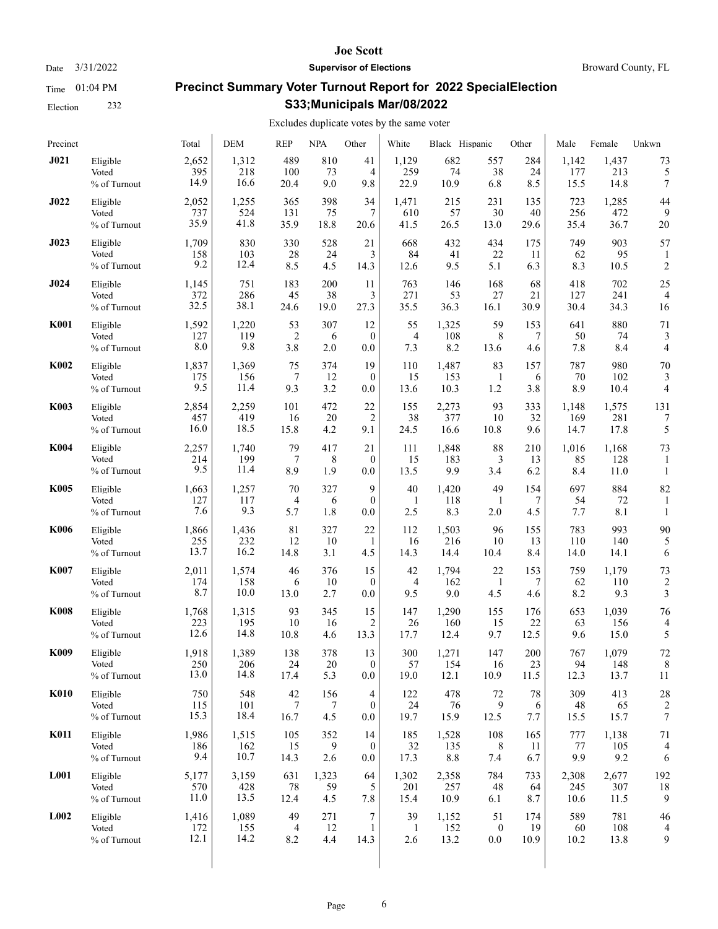Election 232

#### **Joe Scott**

Date  $3/31/2022$  **Supervisor of Elections** Broward County, FL

# **Precinct Summary Voter Turnout Report for 2022 SpecialElection S33;Municipals Mar/08/2022**

## Excludes duplicate votes by the same voter

| Precinct    |              | Total | <b>DEM</b> | <b>REP</b>     | <b>NPA</b> | Other          | White        | Black Hispanic |                  | Other | Male  | Female | Unkwn                   |
|-------------|--------------|-------|------------|----------------|------------|----------------|--------------|----------------|------------------|-------|-------|--------|-------------------------|
| J021        | Eligible     | 2,652 | 1,312      | 489            | 810        | 41             | 1,129        | 682            | 557              | 284   | 1,142 | 1,437  | 73                      |
|             | Voted        | 395   | 218        | 100            | 73         | 4              | 259          | 74             | 38               | 24    | 177   | 213    | 5                       |
|             | % of Turnout | 14.9  | 16.6       | 20.4           | 9.0        | 9.8            | 22.9         | 10.9           | 6.8              | 8.5   | 15.5  | 14.8   | 7                       |
| J022        | Eligible     | 2,052 | 1,255      | 365            | 398        | 34             | 1,471        | 215            | 231              | 135   | 723   | 1,285  | 44                      |
|             | Voted        | 737   | 524        | 131            | 75         | 7              | 610          | 57             | 30               | 40    | 256   | 472    | 9                       |
|             | % of Turnout | 35.9  | 41.8       | 35.9           | 18.8       | 20.6           | 41.5         | 26.5           | 13.0             | 29.6  | 35.4  | 36.7   | 20                      |
| J023        | Eligible     | 1,709 | 830        | 330            | 528        | 21             | 668          | 432            | 434              | 175   | 749   | 903    | 57                      |
|             | Voted        | 158   | 103        | 28             | 24         | 3              | 84           | 41             | 22               | 11    | 62    | 95     | 1                       |
|             | % of Turnout | 9.2   | 12.4       | 8.5            | 4.5        | 14.3           | 12.6         | 9.5            | 5.1              | 6.3   | 8.3   | 10.5   | $\overline{\mathbf{c}}$ |
| J024        | Eligible     | 1,145 | 751        | 183            | 200        | 11             | 763          | 146            | 168              | 68    | 418   | 702    | 25                      |
|             | Voted        | 372   | 286        | 45             | 38         | 3              | 271          | 53             | 27               | 21    | 127   | 241    | $\overline{4}$          |
|             | % of Turnout | 32.5  | 38.1       | 24.6           | 19.0       | 27.3           | 35.5         | 36.3           | 16.1             | 30.9  | 30.4  | 34.3   | 16                      |
| <b>K001</b> | Eligible     | 1,592 | 1,220      | 53             | 307        | 12             | 55           | 1,325          | 59               | 153   | 641   | 880    | 71                      |
|             | Voted        | 127   | 119        | $\overline{2}$ | 6          | $\mathbf{0}$   | 4            | 108            | 8                | 7     | 50    | 74     | 3                       |
|             | % of Turnout | 8.0   | 9.8        | 3.8            | 2.0        | 0.0            | 7.3          | 8.2            | 13.6             | 4.6   | 7.8   | 8.4    | 4                       |
| <b>K002</b> | Eligible     | 1,837 | 1,369      | 75             | 374        | 19             | 110          | 1,487          | 83               | 157   | 787   | 980    | 70                      |
|             | Voted        | 175   | 156        | 7              | 12         | $\theta$       | 15           | 153            | 1                | 6     | 70    | 102    | 3                       |
|             | % of Turnout | 9.5   | 11.4       | 9.3            | 3.2        | 0.0            | 13.6         | 10.3           | 1.2              | 3.8   | 8.9   | 10.4   | 4                       |
| <b>K003</b> | Eligible     | 2,854 | 2,259      | 101            | 472        | 22             | 155          | 2,273          | 93               | 333   | 1,148 | 1,575  | 131                     |
|             | Voted        | 457   | 419        | 16             | 20         | $\overline{2}$ | 38           | 377            | 10               | 32    | 169   | 281    | 7                       |
|             | % of Turnout | 16.0  | 18.5       | 15.8           | 4.2        | 9.1            | 24.5         | 16.6           | 10.8             | 9.6   | 14.7  | 17.8   | 5                       |
| <b>K004</b> | Eligible     | 2,257 | 1,740      | 79             | 417        | 21             | 111          | 1,848          | 88               | 210   | 1,016 | 1,168  | 73                      |
|             | Voted        | 214   | 199        | 7              | 8          | $\mathbf{0}$   | 15           | 183            | 3                | 13    | 85    | 128    | 1                       |
|             | % of Turnout | 9.5   | 11.4       | 8.9            | 1.9        | 0.0            | 13.5         | 9.9            | 3.4              | 6.2   | 8.4   | 11.0   | $\mathbf{1}$            |
| <b>K005</b> | Eligible     | 1,663 | 1,257      | 70             | 327        | 9              | 40           | 1,420          | 49               | 154   | 697   | 884    | 82                      |
|             | Voted        | 127   | 117        | $\overline{4}$ | 6          | $\theta$       | 1            | 118            | 1                | 7     | 54    | 72     | 1                       |
|             | % of Turnout | 7.6   | 9.3        | 5.7            | 1.8        | 0.0            | 2.5          | 8.3            | 2.0              | 4.5   | 7.7   | 8.1    | 1                       |
| K006        | Eligible     | 1,866 | 1,436      | 81             | 327        | 22             | 112          | 1,503          | 96               | 155   | 783   | 993    | 90                      |
|             | Voted        | 255   | 232        | 12             | 10         | 1              | 16           | 216            | 10               | 13    | 110   | 140    | 5                       |
|             | % of Turnout | 13.7  | 16.2       | 14.8           | 3.1        | 4.5            | 14.3         | 14.4           | 10.4             | 8.4   | 14.0  | 14.1   | 6                       |
| <b>K007</b> | Eligible     | 2,011 | 1,574      | 46             | 376        | 15             | 42           | 1,794          | 22               | 153   | 759   | 1,179  | 73                      |
|             | Voted        | 174   | 158        | 6              | 10         | $\mathbf{0}$   | 4            | 162            | 1                | 7     | 62    | 110    | $\overline{\mathbf{c}}$ |
|             | % of Turnout | 8.7   | 10.0       | 13.0           | 2.7        | 0.0            | 9.5          | 9.0            | 4.5              | 4.6   | 8.2   | 9.3    | 3                       |
| <b>K008</b> | Eligible     | 1,768 | 1,315      | 93             | 345        | 15             | 147          | 1,290          | 155              | 176   | 653   | 1,039  | 76                      |
|             | Voted        | 223   | 195        | 10             | 16         | 2              | 26           | 160            | 15               | 22    | 63    | 156    | 4                       |
|             | % of Turnout | 12.6  | 14.8       | 10.8           | 4.6        | 13.3           | 17.7         | 12.4           | 9.7              | 12.5  | 9.6   | 15.0   | 5                       |
| K009        | Eligible     | 1,918 | 1,389      | 138            | 378        | 13             | 300          | 1,271          | 147              | 200   | 767   | 1,079  | 72                      |
|             | Voted        | 250   | 206        | 24             | 20         | $\mathbf{0}$   | 57           | 154            | 16               | 23    | 94    | 148    | 8                       |
|             | % of Turnout | 13.0  | 14.8       | 17.4           | 5.3        | 0.0            | 19.0         | 12.1           | 10.9             | 11.5  | 12.3  | 13.7   | 11                      |
| <b>K010</b> | Eligible     | 750   | 548        | 42             | 156        | $\overline{4}$ | 122          | 478            | 72               | 78    | 309   | 413    | 28                      |
|             | Voted        | 115   | 101        | 7              | 7          | $\mathbf{0}$   | 24           | 76             | 9                | 6     | 48    | 65     | 2                       |
|             | % of Turnout | 15.3  | 18.4       | 16.7           | 4.5        | 0.0            | 19.7         | 15.9           | 12.5             | 7.7   | 15.5  | 15.7   | 7                       |
| <b>K011</b> | Eligible     | 1,986 | 1,515      | 105            | 352        | 14             | 185          | 1,528          | 108              | 165   | 777   | 1,138  | 71                      |
|             | Voted        | 186   | 162        | 15             | 9          | $\mathbf{0}$   | 32           | 135            | 8                | 11    | 77    | 105    | $\overline{4}$          |
|             | % of Turnout | 9.4   | 10.7       | 14.3           | 2.6        | 0.0            | 17.3         | 8.8            | 7.4              | 6.7   | 9.9   | 9.2    | 6                       |
| <b>L001</b> | Eligible     | 5,177 | 3,159      | 631            | 1,323      | 64             | 1,302        | 2,358          | 784              | 733   | 2,308 | 2,677  | 192                     |
|             | Voted        | 570   | 428        | 78             | 59         | 5              | 201          | 257            | 48               | 64    | 245   | 307    | 18                      |
|             | % of Turnout | 11.0  | 13.5       | 12.4           | 4.5        | 7.8            | 15.4         | 10.9           | 6.1              | 8.7   | 10.6  | 11.5   | 9                       |
| L002        | Eligible     | 1,416 | 1,089      | 49             | 271        | 7              | 39           | 1,152          | 51               | 174   | 589   | 781    | 46                      |
|             | Voted        | 172   | 155        | 4              | 12         | 1              | $\mathbf{1}$ | 152            | $\boldsymbol{0}$ | 19    | 60    | 108    | 4                       |
|             | % of Turnout | 12.1  | 14.2       | 8.2            | 4.4        | 14.3           | 2.6          | 13.2           | $0.0\,$          | 10.9  | 10.2  | 13.8   | 9                       |
|             |              |       |            |                |            |                |              |                |                  |       |       |        |                         |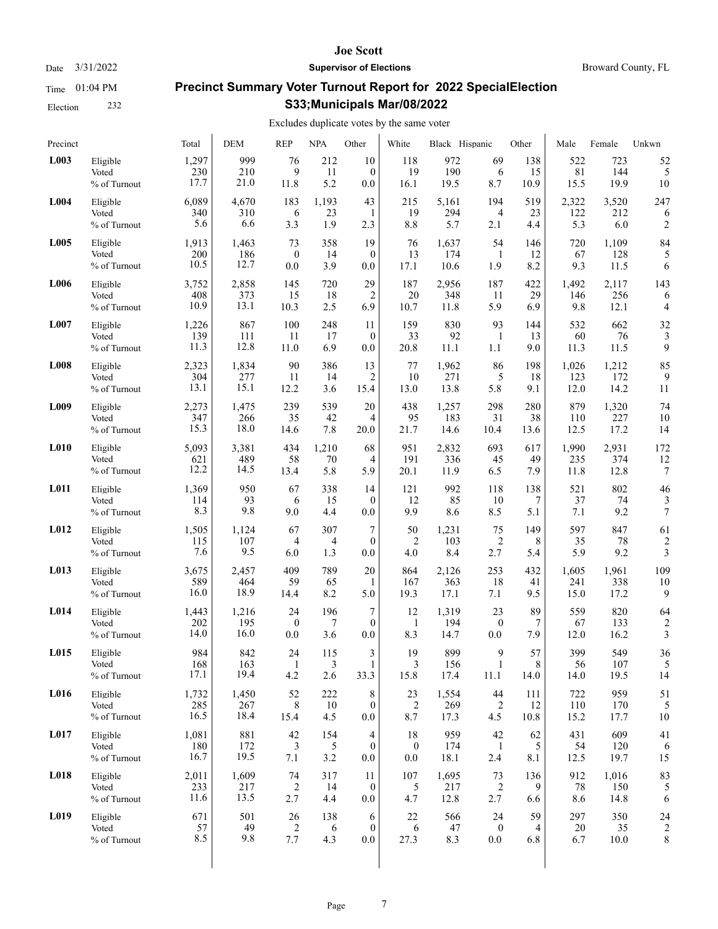Election 232

#### **Joe Scott**

Date  $3/31/2022$  **Supervisor of Elections** Broward County, FL

# **Precinct Summary Voter Turnout Report for 2022 SpecialElection S33;Municipals Mar/08/2022**

## Excludes duplicate votes by the same voter

| Precinct    |              | Total | <b>DEM</b> | <b>REP</b>     | <b>NPA</b>     | Other            | White            | Black Hispanic |                  | Other | Male  | Female | Unkwn                   |
|-------------|--------------|-------|------------|----------------|----------------|------------------|------------------|----------------|------------------|-------|-------|--------|-------------------------|
| L003        | Eligible     | 1,297 | 999        | 76             | 212            | 10               | 118              | 972            | 69               | 138   | 522   | 723    | 52                      |
|             | Voted        | 230   | 210        | 9              | 11             | $\mathbf{0}$     | 19               | 190            | 6                | 15    | 81    | 144    | 5                       |
|             | % of Turnout | 17.7  | 21.0       | 11.8           | 5.2            | 0.0              | 16.1             | 19.5           | 8.7              | 10.9  | 15.5  | 19.9   | 10                      |
| L004        | Eligible     | 6,089 | 4,670      | 183            | 1,193          | 43               | 215              | 5,161          | 194              | 519   | 2,322 | 3,520  | 247                     |
|             | Voted        | 340   | 310        | 6              | 23             | 1                | 19               | 294            | 4                | 23    | 122   | 212    | 6                       |
|             | % of Turnout | 5.6   | 6.6        | 3.3            | 1.9            | 2.3              | 8.8              | 5.7            | 2.1              | 4.4   | 5.3   | 6.0    | 2                       |
| L005        | Eligible     | 1,913 | 1,463      | 73             | 358            | 19               | 76               | 1,637          | 54               | 146   | 720   | 1,109  | 84                      |
|             | Voted        | 200   | 186        | $\mathbf{0}$   | 14             | $\mathbf{0}$     | 13               | 174            | 1                | 12    | 67    | 128    | 5                       |
|             | % of Turnout | 10.5  | 12.7       | 0.0            | 3.9            | 0.0              | 17.1             | 10.6           | 1.9              | 8.2   | 9.3   | 11.5   | 6                       |
| L006        | Eligible     | 3,752 | 2,858      | 145            | 720            | 29               | 187              | 2,956          | 187              | 422   | 1,492 | 2,117  | 143                     |
|             | Voted        | 408   | 373        | 15             | 18             | 2                | 20               | 348            | 11               | 29    | 146   | 256    | 6                       |
|             | % of Turnout | 10.9  | 13.1       | 10.3           | 2.5            | 6.9              | 10.7             | 11.8           | 5.9              | 6.9   | 9.8   | 12.1   | 4                       |
| <b>L007</b> | Eligible     | 1,226 | 867        | 100            | 248            | 11               | 159              | 830            | 93               | 144   | 532   | 662    | 32                      |
|             | Voted        | 139   | 111        | 11             | 17             | $\mathbf{0}$     | 33               | 92             | $\mathbf{1}$     | 13    | 60    | 76     | 3                       |
|             | % of Turnout | 11.3  | 12.8       | 11.0           | 6.9            | 0.0              | 20.8             | 11.1           | 1.1              | 9.0   | 11.3  | 11.5   | 9                       |
| <b>L008</b> | Eligible     | 2,323 | 1,834      | 90             | 386            | 13               | 77               | 1,962          | 86               | 198   | 1,026 | 1,212  | 85                      |
|             | Voted        | 304   | 277        | 11             | 14             | $\overline{2}$   | 10               | 271            | 5                | 18    | 123   | 172    | 9                       |
|             | % of Turnout | 13.1  | 15.1       | 12.2           | 3.6            | 15.4             | 13.0             | 13.8           | 5.8              | 9.1   | 12.0  | 14.2   | 11                      |
| L009        | Eligible     | 2,273 | 1,475      | 239            | 539            | 20               | 438              | 1,257          | 298              | 280   | 879   | 1,320  | 74                      |
|             | Voted        | 347   | 266        | 35             | 42             | 4                | 95               | 183            | 31               | 38    | 110   | 227    | 10                      |
|             | % of Turnout | 15.3  | 18.0       | 14.6           | 7.8            | 20.0             | 21.7             | 14.6           | 10.4             | 13.6  | 12.5  | 17.2   | 14                      |
| L010        | Eligible     | 5,093 | 3,381      | 434            | 1,210          | 68               | 951              | 2,832          | 693              | 617   | 1,990 | 2,931  | 172                     |
|             | Voted        | 621   | 489        | 58             | 70             | 4                | 191              | 336            | 45               | 49    | 235   | 374    | 12                      |
|             | % of Turnout | 12.2  | 14.5       | 13.4           | 5.8            | 5.9              | 20.1             | 11.9           | 6.5              | 7.9   | 11.8  | 12.8   | 7                       |
| L011        | Eligible     | 1,369 | 950        | 67             | 338            | 14               | 121              | 992            | 118              | 138   | 521   | 802    | 46                      |
|             | Voted        | 114   | 93         | 6              | 15             | $\mathbf{0}$     | 12               | 85             | 10               | 7     | 37    | 74     | 3                       |
|             | % of Turnout | 8.3   | 9.8        | 9.0            | 4.4            | 0.0              | 9.9              | 8.6            | 8.5              | 5.1   | 7.1   | 9.2    | $\boldsymbol{7}$        |
| L012        | Eligible     | 1,505 | 1,124      | 67             | 307            | 7                | 50               | 1,231          | 75               | 149   | 597   | 847    | 61                      |
|             | Voted        | 115   | 107        | 4              | 4              | $\mathbf{0}$     | 2                | 103            | $\overline{c}$   | 8     | 35    | 78     | $\overline{\mathbf{c}}$ |
|             | % of Turnout | 7.6   | 9.5        | 6.0            | 1.3            | 0.0              | 4.0              | 8.4            | 2.7              | 5.4   | 5.9   | 9.2    | 3                       |
| L013        | Eligible     | 3,675 | 2,457      | 409            | 789            | 20               | 864              | 2,126          | 253              | 432   | 1,605 | 1,961  | 109                     |
|             | Voted        | 589   | 464        | 59             | 65             | 1                | 167              | 363            | 18               | 41    | 241   | 338    | 10                      |
|             | % of Turnout | 16.0  | 18.9       | 14.4           | 8.2            | 5.0              | 19.3             | 17.1           | 7.1              | 9.5   | 15.0  | 17.2   | 9                       |
| L014        | Eligible     | 1,443 | 1,216      | 24             | 196            | 7                | 12               | 1,319          | 23               | 89    | 559   | 820    | 64                      |
|             | Voted        | 202   | 195        | $\mathbf{0}$   | 7              | $\mathbf{0}$     | $\mathbf{1}$     | 194            | $\boldsymbol{0}$ | 7     | 67    | 133    | $\overline{2}$          |
|             | % of Turnout | 14.0  | 16.0       | 0.0            | 3.6            | 0.0              | 8.3              | 14.7           | 0.0              | 7.9   | 12.0  | 16.2   | 3                       |
| L015        | Eligible     | 984   | 842        | 24             | 115            | 3                | 19               | 899            | 9                | 57    | 399   | 549    | 36                      |
|             | Voted        | 168   | 163        | $\mathbf{1}$   | $\mathfrak{Z}$ | $\mathbf{1}$     | $\mathfrak{Z}$   | 156            | $\mathbf{1}$     | 8     | 56    | 107    | 5                       |
|             | % of Turnout | 17.1  | 19.4       | 4.2            | 2.6            | 33.3             | 15.8             | 17.4           | 11.1             | 14.0  | 14.0  | 19.5   | 14                      |
| L016        | Eligible     | 1,732 | 1,450      | 52             | 222            | 8                | 23               | 1,554          | 44               | 111   | 722   | 959    | 51                      |
|             | Voted        | 285   | 267        | 8              | 10             | $\mathbf{0}$     | $\overline{c}$   | 269            | $\overline{c}$   | 12    | 110   | 170    | 5                       |
|             | % of Turnout | 16.5  | 18.4       | 15.4           | 4.5            | $0.0\,$          | 8.7              | 17.3           | 4.5              | 10.8  | 15.2  | 17.7   | 10                      |
| L017        | Eligible     | 1,081 | 881        | 42             | 154            | 4                | 18               | 959            | 42               | 62    | 431   | 609    | 41                      |
|             | Voted        | 180   | 172        | 3              | 5              | $\boldsymbol{0}$ | $\boldsymbol{0}$ | 174            | $\mathbf{1}$     | 5     | 54    | 120    | 6                       |
|             | % of Turnout | 16.7  | 19.5       | 7.1            | 3.2            | $0.0\,$          | 0.0              | 18.1           | 2.4              | 8.1   | 12.5  | 19.7   | 15                      |
| L018        | Eligible     | 2,011 | 1,609      | 74             | 317            | 11               | 107              | 1,695          | 73               | 136   | 912   | 1,016  | 83                      |
|             | Voted        | 233   | 217        | $\overline{c}$ | 14             | $\bf{0}$         | 5                | 217            | 2                | 9     | 78    | 150    | 5                       |
|             | % of Turnout | 11.6  | 13.5       | 2.7            | 4.4            | 0.0              | 4.7              | 12.8           | 2.7              | 6.6   | 8.6   | 14.8   | 6                       |
| L019        | Eligible     | 671   | 501        | 26             | 138            | 6                | 22               | 566            | 24               | 59    | 297   | 350    | 24                      |
|             | Voted        | 57    | 49         | 2              | 6              | $\bf{0}$         | 6                | 47             | $\boldsymbol{0}$ | 4     | 20    | 35     | $\overline{2}$          |
|             | % of Turnout | 8.5   | 9.8        | 7.7            | 4.3            | 0.0              | 27.3             | 8.3            | $0.0\,$          | 6.8   | 6.7   | 10.0   | 8                       |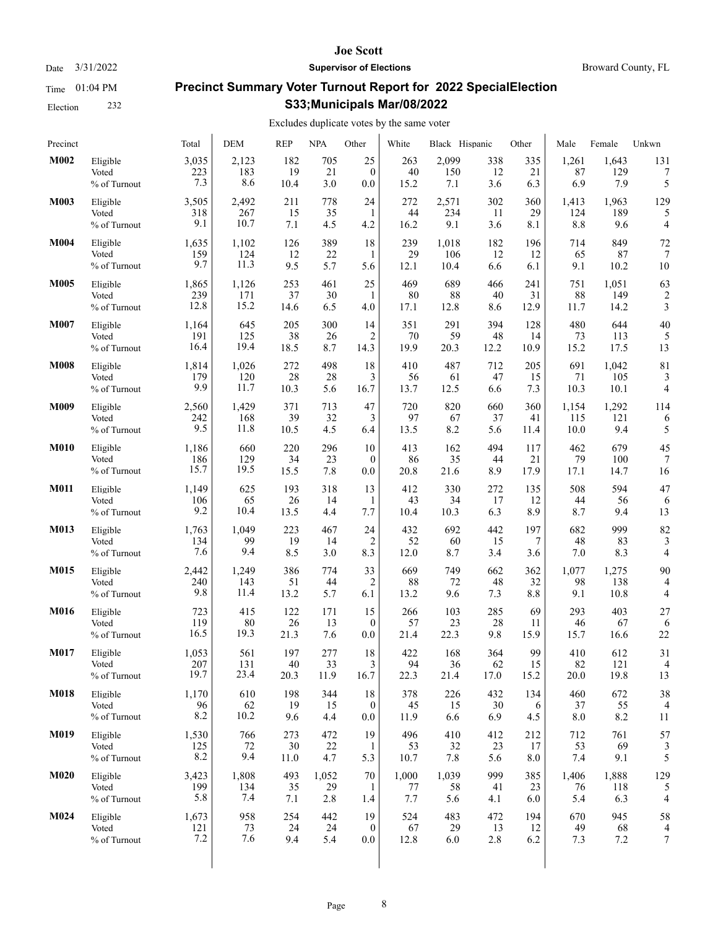Election 232

#### **Joe Scott**

Date  $3/31/2022$  **Supervisor of Elections** Broward County, FL

# **Precinct Summary Voter Turnout Report for 2022 SpecialElection S33;Municipals Mar/08/2022**

## Excludes duplicate votes by the same voter

| Precinct    |                                   | Total               | <b>DEM</b>       | <b>REP</b>        | <b>NPA</b>       | Other          | White             | Black Hispanic   |                  | Other            | Male             | Female           | Unkwn          |
|-------------|-----------------------------------|---------------------|------------------|-------------------|------------------|----------------|-------------------|------------------|------------------|------------------|------------------|------------------|----------------|
| M002        | Eligible                          | 3,035               | 2,123            | 182               | 705              | 25             | 263               | 2,099            | 338              | 335              | 1,261            | 1,643            | 131            |
|             | Voted                             | 223                 | 183              | 19                | 21               | $\mathbf{0}$   | 40                | 150              | 12               | 21               | 87               | 129              | 7              |
|             | % of Turnout                      | 7.3                 | 8.6              | 10.4              | 3.0              | 0.0            | 15.2              | 7.1              | 3.6              | 6.3              | 6.9              | 7.9              | 5              |
| M003        | Eligible                          | 3,505               | 2,492            | 211               | 778              | 24             | 272               | 2,571            | 302              | 360              | 1,413            | 1,963            | 129            |
|             | Voted                             | 318                 | 267              | 15                | 35               | 1              | 44                | 234              | 11               | 29               | 124              | 189              | 5              |
|             | % of Turnout                      | 9.1                 | 10.7             | 7.1               | 4.5              | 4.2            | 16.2              | 9.1              | 3.6              | 8.1              | 8.8              | 9.6              | 4              |
| M004        | Eligible                          | 1,635               | 1,102            | 126               | 389              | 18             | 239               | 1,018            | 182              | 196              | 714              | 849              | 72             |
|             | Voted                             | 159                 | 124              | 12                | 22               | 1              | 29                | 106              | 12               | 12               | 65               | 87               | 7              |
|             | % of Turnout                      | 9.7                 | 11.3             | 9.5               | 5.7              | 5.6            | 12.1              | 10.4             | 6.6              | 6.1              | 9.1              | 10.2             | 10             |
| M005        | Eligible                          | 1,865               | 1,126            | 253               | 461              | 25             | 469               | 689              | 466              | 241              | 751              | 1,051            | 63             |
|             | Voted                             | 239                 | 171              | 37                | 30               | 1              | 80                | 88               | 40               | 31               | 88               | 149              | 2              |
|             | % of Turnout                      | 12.8                | 15.2             | 14.6              | 6.5              | 4.0            | 17.1              | 12.8             | 8.6              | 12.9             | 11.7             | 14.2             | 3              |
| M007        | Eligible                          | 1,164               | 645              | 205               | 300              | 14             | 351               | 291              | 394              | 128              | 480              | 644              | 40             |
|             | Voted                             | 191                 | 125              | 38                | 26               | 2              | 70                | 59               | 48               | 14               | 73               | 113              | 5              |
|             | % of Turnout                      | 16.4                | 19.4             | 18.5              | 8.7              | 14.3           | 19.9              | 20.3             | 12.2             | 10.9             | 15.2             | 17.5             | 13             |
| <b>M008</b> | Eligible                          | 1,814               | 1,026            | 272               | 498              | 18             | 410               | 487              | 712              | 205              | 691              | 1,042            | 81             |
|             | Voted                             | 179                 | 120              | 28                | 28               | 3              | 56                | 61               | 47               | 15               | 71               | 105              | 3              |
|             | % of Turnout                      | 9.9                 | 11.7             | 10.3              | 5.6              | 16.7           | 13.7              | 12.5             | 6.6              | 7.3              | 10.3             | 10.1             | 4              |
| M009        | Eligible                          | 2,560               | 1,429            | 371               | 713              | 47             | 720               | 820              | 660              | 360              | 1,154            | 1,292            | 114            |
|             | Voted                             | 242                 | 168              | 39                | 32               | 3              | 97                | 67               | 37               | 41               | 115              | 121              | 6              |
|             | % of Turnout                      | 9.5                 | 11.8             | 10.5              | 4.5              | 6.4            | 13.5              | 8.2              | 5.6              | 11.4             | 10.0             | 9.4              | 5              |
| <b>M010</b> | Eligible                          | 1,186               | 660              | 220               | 296              | 10             | 413               | 162              | 494              | 117              | 462              | 679              | 45             |
|             | Voted                             | 186                 | 129              | 34                | 23               | $\mathbf{0}$   | 86                | 35               | 44               | 21               | 79               | 100              | 7              |
|             | % of Turnout                      | 15.7                | 19.5             | 15.5              | 7.8              | 0.0            | 20.8              | 21.6             | 8.9              | 17.9             | 17.1             | 14.7             | 16             |
| <b>M011</b> | Eligible                          | 1,149               | 625              | 193               | 318              | 13             | 412               | 330              | 272              | 135              | 508              | 594              | 47             |
|             | Voted                             | 106                 | 65               | 26                | 14               | 1              | 43                | 34               | 17               | 12               | 44               | 56               | 6              |
|             | % of Turnout                      | 9.2                 | 10.4             | 13.5              | 4.4              | 7.7            | 10.4              | 10.3             | 6.3              | 8.9              | 8.7              | 9.4              | 13             |
| M013        | Eligible                          | 1,763               | 1,049            | 223               | 467              | 24             | 432               | 692              | 442              | 197              | 682              | 999              | 82             |
|             | Voted                             | 134                 | 99               | 19                | 14               | 2              | 52                | 60               | 15               | 7                | 48               | 83               | 3              |
|             | % of Turnout                      | 7.6                 | 9.4              | 8.5               | 3.0              | 8.3            | 12.0              | 8.7              | 3.4              | 3.6              | 7.0              | 8.3              | 4              |
| M015        | Eligible                          | 2,442               | 1,249            | 386               | 774              | 33             | 669               | 749              | 662              | 362              | 1,077            | 1,275            | 90             |
|             | Voted                             | 240                 | 143              | 51                | 44               | $\overline{2}$ | 88                | 72               | 48               | 32               | 98               | 138              | $\overline{4}$ |
|             | % of Turnout                      | 9.8                 | 11.4             | 13.2              | 5.7              | 6.1            | 13.2              | 9.6              | 7.3              | 8.8              | 9.1              | 10.8             | 4              |
| <b>M016</b> | Eligible                          | 723                 | 415              | 122               | 171              | 15             | 266               | 103              | 285              | 69               | 293              | 403              | 27             |
|             | Voted                             | 119                 | 80               | 26                | 13               | $\mathbf{0}$   | 57                | 23               | 28               | 11               | 46               | 67               | 6              |
|             | % of Turnout                      | 16.5                | 19.3             | 21.3              | 7.6              | 0.0            | 21.4              | 22.3             | 9.8              | 15.9             | 15.7             | 16.6             | 22             |
| M017        | Eligible                          | 1,053               | 561              | 197               | 277              | 18             | 422               | 168              | 364              | 99               | 410              | 612              | 31             |
|             | Voted                             | 207                 | 131              | 40                | 33               | 3              | 94                | 36               | 62               | 15               | 82               | 121              | $\overline{4}$ |
|             | % of Turnout                      | 19.7                | 23.4             | 20.3              | 11.9             | 16.7           | 22.3              | 21.4             | 17.0             | 15.2             | 20.0             | 19.8             | 13             |
| <b>M018</b> | Eligible                          | 1,170               | 610              | 198               | 344              | 18             | 378               | 226              | 432              | 134              | 460              | 672              | 38             |
|             | Voted                             | 96                  | 62               | 19                | 15               | $\bf{0}$       | 45                | 15               | 30               | 6                | 37               | 55               | 4              |
|             | % of Turnout                      | 8.2                 | 10.2             | 9.6               | 4.4              | 0.0            | 11.9              | 6.6              | 6.9              | 4.5              | 8.0              | 8.2              | 11             |
| M019        | Eligible<br>Voted<br>% of Turnout | 1,530<br>125<br>8.2 | 766<br>72<br>9.4 | 273<br>30<br>11.0 | 472<br>22<br>4.7 | 19<br>1<br>5.3 | 496<br>53<br>10.7 | 410<br>32<br>7.8 | 412<br>23<br>5.6 | 212<br>17<br>8.0 | 712<br>53<br>7.4 | 761<br>69<br>9.1 | 57<br>5        |
| <b>M020</b> | Eligible                          | 3,423               | 1,808            | 493               | 1,052            | 70             | 1,000             | 1,039            | 999              | 385              | 1,406            | 1,888            | 129            |
|             | Voted                             | 199                 | 134              | 35                | 29               | -1             | 77                | 58               | 41               | 23               | 76               | 118              | 5              |
|             | % of Turnout                      | 5.8                 | 7.4              | 7.1               | 2.8              | 1.4            | 7.7               | 5.6              | 4.1              | 6.0              | 5.4              | 6.3              | 4              |
| M024        | Eligible                          | 1,673               | 958              | 254               | 442              | 19             | 524               | 483              | 472              | 194              | 670              | 945              | 58             |
|             | Voted                             | 121                 | 73               | 24                | 24               | $\bf{0}$       | 67                | 29               | 13               | 12               | 49               | 68               | $\overline{4}$ |
|             | % of Turnout                      | 7.2                 | 7.6              | 9.4               | 5.4              | $0.0\,$        | 12.8              | 6.0              | 2.8              | 6.2              | 7.3              | 7.2              | 7              |
|             |                                   |                     |                  |                   |                  |                |                   |                  |                  |                  |                  |                  |                |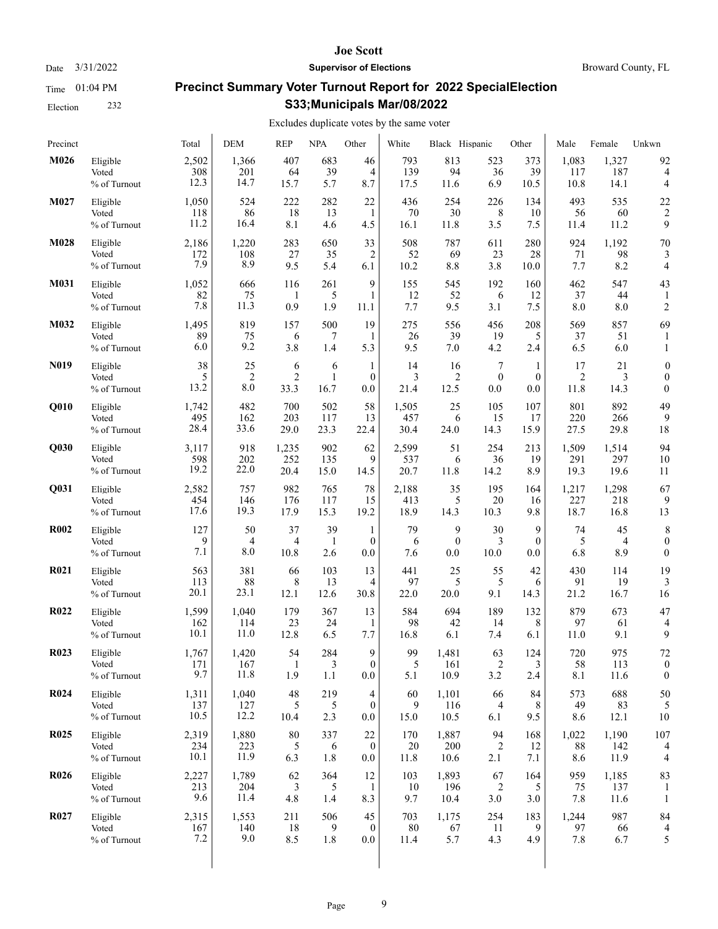Time 01:04 PM Election 232

# **Joe Scott**

## Date  $3/31/2022$  **Supervisor of Elections** Broward County, FL

# **Precinct Summary Voter Turnout Report for 2022 SpecialElection S33;Municipals Mar/08/2022**

## Excludes duplicate votes by the same voter

| Precinct          |                                   | Total               | <b>DEM</b>           | <b>REP</b>       | <b>NPA</b>      | Other            | White            | Black Hispanic       |                  | Other            | Male             | Female               | Unkwn                |
|-------------------|-----------------------------------|---------------------|----------------------|------------------|-----------------|------------------|------------------|----------------------|------------------|------------------|------------------|----------------------|----------------------|
| M026              | Eligible                          | 2,502               | 1,366                | 407              | 683             | 46               | 793              | 813                  | 523              | 373              | 1,083            | 1,327                | 92                   |
|                   | Voted                             | 308                 | 201                  | 64               | 39              | $\overline{4}$   | 139              | 94                   | 36               | 39               | 117              | 187                  | 4                    |
|                   | % of Turnout                      | 12.3                | 14.7                 | 15.7             | 5.7             | 8.7              | 17.5             | 11.6                 | 6.9              | 10.5             | 10.8             | 14.1                 | 4                    |
| M027              | Eligible                          | 1,050               | 524                  | 222              | 282             | 22               | 436              | 254                  | 226              | 134              | 493              | 535                  | 22                   |
|                   | Voted                             | 118                 | 86                   | 18               | 13              | 1                | 70               | 30                   | 8                | 10               | 56               | 60                   | $\overline{2}$       |
|                   | % of Turnout                      | 11.2                | 16.4                 | 8.1              | 4.6             | 4.5              | 16.1             | 11.8                 | 3.5              | 7.5              | 11.4             | 11.2                 | 9                    |
| M028              | Eligible                          | 2,186               | 1,220                | 283              | 650             | 33               | 508              | 787                  | 611              | 280              | 924              | 1,192                | 70                   |
|                   | Voted                             | 172                 | 108                  | 27               | 35              | 2                | 52               | 69                   | 23               | 28               | 71               | 98                   | 3                    |
|                   | % of Turnout                      | 7.9                 | 8.9                  | 9.5              | 5.4             | 6.1              | 10.2             | 8.8                  | 3.8              | 10.0             | 7.7              | 8.2                  | 4                    |
| M031              | Eligible<br>Voted<br>% of Turnout | 1,052<br>82<br>7.8  | 666<br>75<br>11.3    | 116<br>-1<br>0.9 | 261<br>5<br>1.9 | 9<br>1<br>11.1   | 155<br>12<br>7.7 | 545<br>52<br>9.5     | 192<br>6<br>3.1  | 160<br>12<br>7.5 | 462<br>37<br>8.0 | 547<br>44<br>8.0     | 43<br>$\overline{c}$ |
| M032              | Eligible<br>Voted<br>% of Turnout | 1,495<br>89<br>6.0  | 819<br>75<br>9.2     | 157<br>6<br>3.8  | 500<br>7<br>1.4 | 19<br>1<br>5.3   | 275<br>26<br>9.5 | 556<br>39<br>7.0     | 456<br>19<br>4.2 | 208<br>5<br>2.4  | 569<br>37<br>6.5 | 857<br>51<br>6.0     | 69<br>1              |
| N <sub>0</sub> 19 | Eligible                          | 38                  | 25                   | 6                | 6               | 1                | 14               | 16                   | 7                | 1                | 17               | 21                   | 0                    |
|                   | Voted                             | 5                   | $\overline{2}$       | $\overline{2}$   | $\mathbf{1}$    | $\mathbf{0}$     | 3                | $\overline{2}$       | $\mathbf{0}$     | $\mathbf{0}$     | $\overline{c}$   | 3                    | $\overline{0}$       |
|                   | % of Turnout                      | 13.2                | 8.0                  | 33.3             | 16.7            | 0.0              | 21.4             | 12.5                 | 0.0              | 0.0              | 11.8             | 14.3                 | $\mathbf{0}$         |
| Q010              | Eligible                          | 1,742               | 482                  | 700              | 502             | 58               | 1,505            | 25                   | 105              | 107              | 801              | 892                  | 49                   |
|                   | Voted                             | 495                 | 162                  | 203              | 117             | 13               | 457              | 6                    | 15               | 17               | 220              | 266                  | 9                    |
|                   | % of Turnout                      | 28.4                | 33.6                 | 29.0             | 23.3            | 22.4             | 30.4             | 24.0                 | 14.3             | 15.9             | 27.5             | 29.8                 | 18                   |
| Q030              | Eligible                          | 3,117               | 918                  | 1,235            | 902             | 62               | 2,599            | 51                   | 254              | 213              | 1,509            | 1,514                | 94                   |
|                   | Voted                             | 598                 | 202                  | 252              | 135             | 9                | 537              | 6                    | 36               | 19               | 291              | 297                  | 10                   |
|                   | % of Turnout                      | 19.2                | 22.0                 | 20.4             | 15.0            | 14.5             | 20.7             | 11.8                 | 14.2             | 8.9              | 19.3             | 19.6                 | 11                   |
| Q031              | Eligible                          | 2,582               | 757                  | 982              | 765             | 78               | 2,188            | 35                   | 195              | 164              | 1,217            | 1,298                | 67                   |
|                   | Voted                             | 454                 | 146                  | 176              | 117             | 15               | 413              | 5                    | 20               | 16               | 227              | 218                  | 9                    |
|                   | % of Turnout                      | 17.6                | 19.3                 | 17.9             | 15.3            | 19.2             | 18.9             | 14.3                 | 10.3             | 9.8              | 18.7             | 16.8                 | 13                   |
| <b>R002</b>       | Eligible                          | 127                 | 50                   | 37               | 39              | 1                | 79               | 9                    | 30               | 9                | 74               | 45                   | 8                    |
|                   | Voted                             | 9                   | 4                    | 4                | $\mathbf{1}$    | $\mathbf{0}$     | 6                | $\mathbf{0}$         | 3                | $\mathbf{0}$     | 5                | 4                    | $\boldsymbol{0}$     |
|                   | % of Turnout                      | 7.1                 | 8.0                  | 10.8             | 2.6             | 0.0              | 7.6              | 0.0                  | 10.0             | 0.0              | 6.8              | 8.9                  | $\mathbf{0}$         |
| R <sub>021</sub>  | Eligible                          | 563                 | 381                  | 66               | 103             | 13               | 441              | 25                   | 55               | 42               | 430              | 114                  | 19                   |
|                   | Voted                             | 113                 | 88                   | 8                | 13              | 4                | 97               | 5                    | 5                | 6                | 91               | 19                   | 3                    |
|                   | % of Turnout                      | 20.1                | 23.1                 | 12.1             | 12.6            | 30.8             | 22.0             | 20.0                 | 9.1              | 14.3             | 21.2             | 16.7                 | 16                   |
| <b>R022</b>       | Eligible                          | 1,599               | 1,040                | 179              | 367             | 13               | 584              | 694                  | 189              | 132              | 879              | 673                  | 47                   |
|                   | Voted                             | 162                 | 114                  | 23               | 24              | $\mathbf{1}$     | 98               | 42                   | 14               | 8                | 97               | 61                   | $\overline{4}$       |
|                   | % of Turnout                      | 10.1                | 11.0                 | 12.8             | 6.5             | 7.7              | 16.8             | 6.1                  | 7.4              | 6.1              | 11.0             | 9.1                  | 9                    |
| <b>R023</b>       | Eligible                          | 1,767               | 1,420                | 54               | 284             | 9                | 99               | 1,481                | 63               | 124              | 720              | 975                  | 72                   |
|                   | Voted                             | 171                 | 167                  | $\mathbf{1}$     | $\mathfrak{Z}$  | $\boldsymbol{0}$ | 5                | 161                  | $\overline{2}$   | 3                | 58               | 113                  | $\boldsymbol{0}$     |
|                   | % of Turnout                      | 9.7                 | 11.8                 | 1.9              | 1.1             | 0.0              | 5.1              | 10.9                 | 3.2              | 2.4              | 8.1              | 11.6                 | $\boldsymbol{0}$     |
| <b>R024</b>       | Eligible                          | 1,311               | 1,040                | 48               | 219             | 4                | 60               | 1,101                | 66               | 84               | 573              | 688                  | 50                   |
|                   | Voted                             | 137                 | 127                  | 5                | 5               | $\mathbf{0}$     | 9                | 116                  | 4                | 8                | 49               | 83                   | 5                    |
|                   | % of Turnout                      | 10.5                | 12.2                 | 10.4             | 2.3             | $0.0\,$          | 15.0             | 10.5                 | 6.1              | 9.5              | 8.6              | 12.1                 | 10                   |
| <b>R025</b>       | Eligible                          | 2,319               | 1,880                | 80               | 337             | 22               | 170              | 1,887                | 94               | 168              | 1,022            | 1,190                | 107                  |
|                   | Voted                             | 234                 | 223                  | 5                | 6               | $\boldsymbol{0}$ | 20               | 200                  | 2                | 12               | 88               | 142                  | $\overline{4}$       |
|                   | % of Turnout                      | 10.1                | 11.9                 | 6.3              | 1.8             | 0.0              | 11.8             | 10.6                 | 2.1              | 7.1              | 8.6              | 11.9                 | 4                    |
| <b>R026</b>       | Eligible<br>Voted<br>% of Turnout | 2,227<br>213<br>9.6 | 1,789<br>204<br>11.4 | 62<br>3<br>4.8   | 364<br>5<br>1.4 | 12<br>1<br>8.3   | 103<br>10<br>9.7 | 1,893<br>196<br>10.4 | 67<br>2<br>3.0   | 164<br>5<br>3.0  | 959<br>75<br>7.8 | 1,185<br>137<br>11.6 | 83<br>$\mathbf{1}$   |
| <b>R027</b>       | Eligible                          | 2,315               | 1,553                | 211              | 506             | 45               | 703              | 1,175                | 254              | 183              | 1,244            | 987                  | 84                   |
|                   | Voted                             | 167                 | 140                  | 18               | 9               | $\mathbf{0}$     | 80               | 67                   | 11               | 9                | 97               | 66                   | 4                    |
|                   | % of Turnout                      | 7.2                 | 9.0                  | 8.5              | 1.8             | $0.0\,$          | 11.4             | 5.7                  | 4.3              | 4.9              | 7.8              | 6.7                  | 5                    |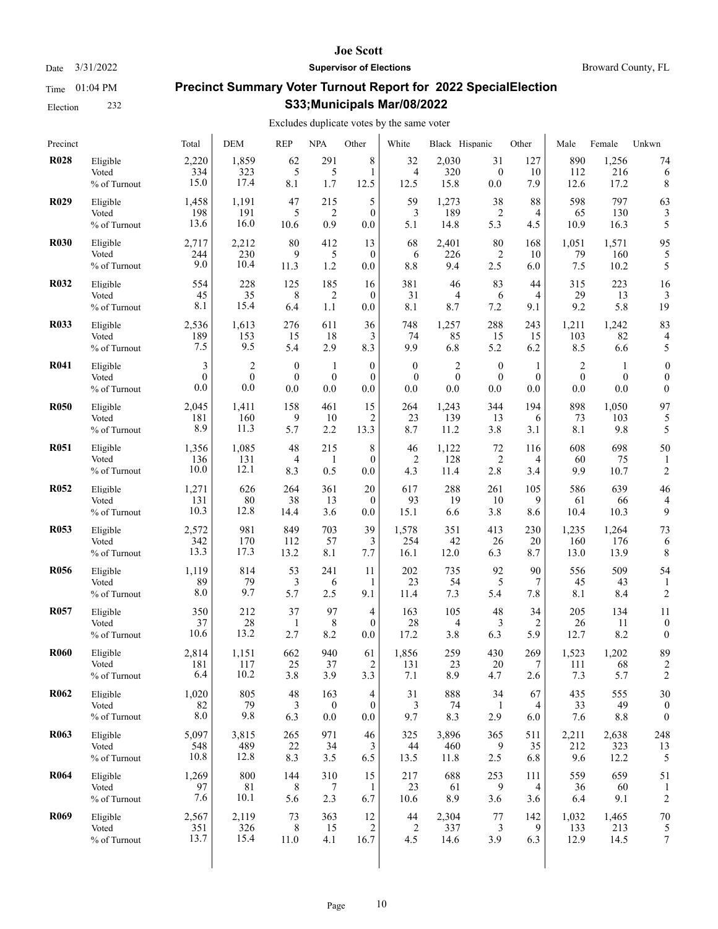Election 232

#### **Joe Scott**

Date  $3/31/2022$  **Supervisor of Elections** Broward County, FL

# **Precinct Summary Voter Turnout Report for 2022 SpecialElection S33;Municipals Mar/08/2022**

| Precinct    |                                   | Total               | <b>DEM</b>           | <b>REP</b>       | <b>NPA</b>       | Other                 | White               | Black Hispanic      |                             | Other            | Male                | Female               | Unkwn                |
|-------------|-----------------------------------|---------------------|----------------------|------------------|------------------|-----------------------|---------------------|---------------------|-----------------------------|------------------|---------------------|----------------------|----------------------|
| <b>R028</b> | Eligible                          | 2,220               | 1,859                | 62               | 291              | 8                     | 32                  | 2,030               | 31                          | 127              | 890                 | 1,256                | 74                   |
|             | Voted                             | 334                 | 323                  | 5                | 5                | 1                     | 4                   | 320                 | $\boldsymbol{0}$            | 10               | 112                 | 216                  | 6                    |
|             | % of Turnout                      | 15.0                | 17.4                 | 8.1              | 1.7              | 12.5                  | 12.5                | 15.8                | 0.0                         | 7.9              | 12.6                | 17.2                 | 8                    |
| <b>R029</b> | Eligible                          | 1,458               | 1,191                | 47               | 215              | 5                     | 59                  | 1,273               | 38                          | 88               | 598                 | 797                  | 63                   |
|             | Voted                             | 198                 | 191                  | 5                | 2                | $\theta$              | 3                   | 189                 | 2                           | 4                | 65                  | 130                  | 3                    |
|             | % of Turnout                      | 13.6                | 16.0                 | 10.6             | 0.9              | 0.0                   | 5.1                 | 14.8                | 5.3                         | 4.5              | 10.9                | 16.3                 | 5                    |
| <b>R030</b> | Eligible<br>Voted<br>% of Turnout | 2,717<br>244<br>9.0 | 2,212<br>230<br>10.4 | 80<br>9<br>11.3  | 412<br>5<br>1.2  | 13<br>$\theta$<br>0.0 | 68<br>6<br>8.8      | 2,401<br>226<br>9.4 | 80<br>$\overline{c}$<br>2.5 | 168<br>10<br>6.0 | 1,051<br>79<br>7.5  | 1,571<br>160<br>10.2 | 95<br>5              |
| <b>R032</b> | Eligible                          | 554                 | 228                  | 125              | 185              | 16                    | 381                 | 46                  | 83                          | 44               | 315                 | 223                  | 16                   |
|             | Voted                             | 45                  | 35                   | 8                | 2                | $\mathbf{0}$          | 31                  | 4                   | 6                           | 4                | 29                  | 13                   | 3                    |
|             | % of Turnout                      | 8.1                 | 15.4                 | 6.4              | 1.1              | 0.0                   | 8.1                 | 8.7                 | 7.2                         | 9.1              | 9.2                 | 5.8                  | 19                   |
| <b>R033</b> | Eligible                          | 2,536               | 1,613                | 276              | 611              | 36                    | 748                 | 1,257               | 288                         | 243              | 1,211               | 1,242                | 83                   |
|             | Voted                             | 189                 | 153                  | 15               | 18               | 3                     | 74                  | 85                  | 15                          | 15               | 103                 | 82                   | 4                    |
|             | % of Turnout                      | 7.5                 | 9.5                  | 5.4              | 2.9              | 8.3                   | 9.9                 | 6.8                 | 5.2                         | 6.2              | 8.5                 | 6.6                  | 5                    |
| <b>R041</b> | Eligible                          | 3                   | $\overline{2}$       | $\mathbf{0}$     | 1                | $\overline{0}$        | $\mathbf{0}$        | $\overline{2}$      | $\boldsymbol{0}$            | $\mathbf{1}$     | $\overline{2}$      | -1                   | $\boldsymbol{0}$     |
|             | Voted                             | $\theta$            | $\mathbf{0}$         | $\mathbf{0}$     | $\boldsymbol{0}$ | $\theta$              | $\mathbf{0}$        | $\mathbf{0}$        | $\boldsymbol{0}$            | $\mathbf{0}$     | $\mathbf{0}$        | $\mathbf{0}$         | $\overline{0}$       |
|             | % of Turnout                      | 0.0                 | 0.0                  | 0.0              | 0.0              | 0.0                   | 0.0                 | 0.0                 | 0.0                         | 0.0              | 0.0                 | 0.0                  | $\mathbf{0}$         |
| <b>R050</b> | Eligible                          | 2,045               | 1,411                | 158              | 461              | 15                    | 264                 | 1,243               | 344                         | 194              | 898                 | 1,050                | 97                   |
|             | Voted                             | 181                 | 160                  | 9                | 10               | 2                     | 23                  | 139                 | 13                          | 6                | 73                  | 103                  | 5                    |
|             | % of Turnout                      | 8.9                 | 11.3                 | 5.7              | 2.2              | 13.3                  | 8.7                 | 11.2                | 3.8                         | 3.1              | 8.1                 | 9.8                  | 5                    |
| <b>R051</b> | Eligible                          | 1,356               | 1,085                | 48               | 215              | 8                     | 46                  | 1,122               | 72                          | 116              | 608                 | 698                  | 50                   |
|             | Voted                             | 136                 | 131                  | $\overline{4}$   | 1                | $\theta$              | 2                   | 128                 | $\overline{2}$              | 4                | 60                  | 75                   | 1                    |
|             | % of Turnout                      | 10.0                | 12.1                 | 8.3              | 0.5              | 0.0                   | 4.3                 | 11.4                | 2.8                         | 3.4              | 9.9                 | 10.7                 | $\overline{2}$       |
| <b>R052</b> | Eligible                          | 1,271               | 626                  | 264              | 361              | 20                    | 617                 | 288                 | 261                         | 105              | 586                 | 639                  | 46                   |
|             | Voted                             | 131                 | 80                   | 38               | 13               | $\theta$              | 93                  | 19                  | 10                          | 9                | 61                  | 66                   | 4                    |
|             | % of Turnout                      | 10.3                | 12.8                 | 14.4             | 3.6              | 0.0                   | 15.1                | 6.6                 | 3.8                         | 8.6              | 10.4                | 10.3                 | 9                    |
| <b>R053</b> | Eligible                          | 2,572               | 981                  | 849              | 703              | 39                    | 1,578               | 351                 | 413                         | 230              | 1,235               | 1,264                | 73                   |
|             | Voted                             | 342                 | 170                  | 112              | 57               | 3                     | 254                 | 42                  | 26                          | 20               | 160                 | 176                  | 6                    |
|             | % of Turnout                      | 13.3                | 17.3                 | 13.2             | 8.1              | 7.7                   | 16.1                | 12.0                | 6.3                         | 8.7              | 13.0                | 13.9                 | 8                    |
| <b>R056</b> | Eligible<br>Voted<br>% of Turnout | 1,119<br>89<br>8.0  | 814<br>79<br>9.7     | 53<br>3<br>5.7   | 241<br>6<br>2.5  | 11<br>1<br>9.1        | 202<br>23<br>11.4   | 735<br>54<br>7.3    | 92<br>5<br>5.4              | 90<br>7<br>7.8   | 556<br>45<br>8.1    | 509<br>43<br>8.4     | 54<br>$\overline{2}$ |
| <b>R057</b> | Eligible                          | 350                 | 212                  | 37               | 97               | 4                     | 163                 | 105                 | 48                          | 34               | 205                 | 134                  | 11                   |
|             | Voted                             | 37                  | 28                   | -1               | 8                | $\theta$              | 28                  | 4                   | 3                           | 2                | 26                  | 11                   | $\boldsymbol{0}$     |
|             | % of Turnout                      | 10.6                | 13.2                 | 2.7              | 8.2              | 0.0                   | 17.2                | 3.8                 | 6.3                         | 5.9              | 12.7                | 8.2                  | $\boldsymbol{0}$     |
| <b>R060</b> | Eligible<br>Voted<br>% of Turnout | 2,814<br>181<br>6.4 | 1,151<br>117<br>10.2 | 662<br>25<br>3.8 | 940<br>37<br>3.9 | 61<br>2<br>3.3        | 1,856<br>131<br>7.1 | 259<br>23<br>8.9    | 430<br>20<br>4.7            | 269<br>7<br>2.6  | 1,523<br>111<br>7.3 | 1,202<br>68<br>5.7   | 89<br>2              |
| <b>R062</b> | Eligible                          | 1,020               | 805                  | 48               | 163              | 4                     | 31                  | 888                 | 34                          | 67               | 435                 | 555                  | 30                   |
|             | Voted                             | 82                  | 79                   | 3                | $\bf{0}$         | $\mathbf{0}$          | 3                   | 74                  | 1                           | 4                | 33                  | 49                   | 0                    |
|             | % of Turnout                      | 8.0                 | 9.8                  | 6.3              | 0.0              | 0.0                   | 9.7                 | 8.3                 | 2.9                         | 6.0              | 7.6                 | 8.8                  | $\boldsymbol{0}$     |
| <b>R063</b> | Eligible                          | 5,097               | 3,815                | 265              | 971              | 46                    | 325                 | 3,896               | 365                         | 511              | 2,211               | 2,638                | 248                  |
|             | Voted                             | 548                 | 489                  | 22               | 34               | 3                     | 44                  | 460                 | 9                           | 35               | 212                 | 323                  | 13                   |
|             | % of Turnout                      | 10.8                | 12.8                 | 8.3              | 3.5              | 6.5                   | 13.5                | 11.8                | 2.5                         | 6.8              | 9.6                 | 12.2                 | 5                    |
| <b>R064</b> | Eligible<br>Voted<br>% of Turnout | 1,269<br>97<br>7.6  | 800<br>81<br>10.1    | 144<br>8<br>5.6  | 310<br>7<br>2.3  | 15<br>-1<br>6.7       | 217<br>23<br>10.6   | 688<br>61<br>8.9    | 253<br>9<br>3.6             | 111<br>4<br>3.6  | 559<br>36<br>6.4    | 659<br>60<br>9.1     | 51<br>$\overline{c}$ |
| <b>R069</b> | Eligible                          | 2,567               | 2,119                | 73               | 363              | 12                    | 44                  | 2,304               | 77                          | 142              | 1,032               | 1,465                | 70                   |
|             | Voted                             | 351                 | 326                  | 8                | 15               | $\overline{2}$        | 2                   | 337                 | 3                           | 9                | 133                 | 213                  | 5                    |
|             | % of Turnout                      | 13.7                | 15.4                 | 11.0             | 4.1              | 16.7                  | 4.5                 | 14.6                | 3.9                         | 6.3              | 12.9                | 14.5                 | 7                    |
|             |                                   |                     |                      |                  |                  |                       |                     |                     |                             |                  |                     |                      |                      |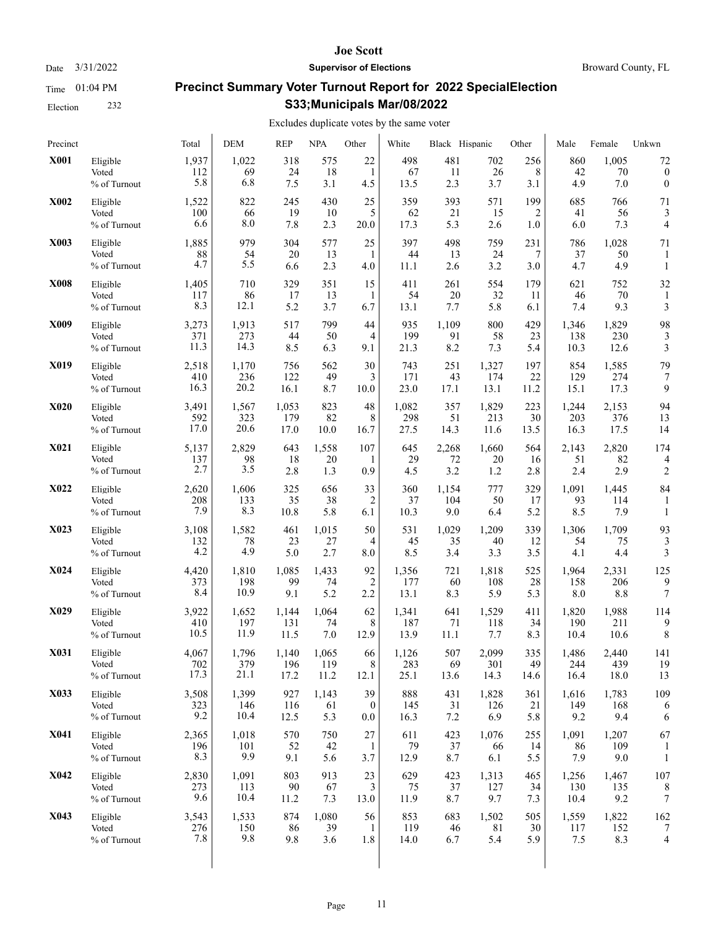Election 232

#### **Joe Scott**

Date  $3/31/2022$  **Supervisor of Elections** Broward County, FL

# **Precinct Summary Voter Turnout Report for 2022 SpecialElection S33;Municipals Mar/08/2022**

| Precinct    |                                   | Total               | <b>DEM</b>          | <b>REP</b>        | <b>NPA</b>       | Other            | White             | Black Hispanic      |                    | Other            | Male               | Female              | Unkwn                    |
|-------------|-----------------------------------|---------------------|---------------------|-------------------|------------------|------------------|-------------------|---------------------|--------------------|------------------|--------------------|---------------------|--------------------------|
| <b>X001</b> | Eligible                          | 1,937               | 1,022               | 318               | 575              | 22               | 498               | 481                 | 702                | 256              | 860                | 1,005               | 72                       |
|             | Voted                             | 112                 | 69                  | 24                | 18               | 1                | 67                | 11                  | 26                 | 8                | 42                 | 70                  | $\boldsymbol{0}$         |
|             | % of Turnout                      | 5.8                 | 6.8                 | 7.5               | 3.1              | 4.5              | 13.5              | 2.3                 | 3.7                | 3.1              | 4.9                | 7.0                 | $\boldsymbol{0}$         |
| <b>X002</b> | Eligible                          | 1,522               | 822                 | 245               | 430              | 25               | 359               | 393                 | 571                | 199              | 685                | 766                 | 71                       |
|             | Voted                             | 100                 | 66                  | 19                | 10               | 5                | 62                | 21                  | 15                 | 2                | 41                 | 56                  | 3                        |
|             | % of Turnout                      | 6.6                 | 8.0                 | 7.8               | 2.3              | 20.0             | 17.3              | 5.3                 | 2.6                | 1.0              | 6.0                | 7.3                 | 4                        |
| X003        | Eligible<br>Voted<br>% of Turnout | 1,885<br>88<br>4.7  | 979<br>54<br>5.5    | 304<br>20<br>6.6  | 577<br>13<br>2.3 | 25<br>1<br>4.0   | 397<br>44<br>11.1 | 498<br>13<br>2.6    | 759<br>24<br>3.2   | 231<br>7<br>3.0  | 786<br>37<br>4.7   | 1,028<br>50<br>4.9  | 71<br>$\mathbf{1}$       |
| <b>X008</b> | Eligible<br>Voted<br>% of Turnout | 1,405<br>117<br>8.3 | 710<br>86<br>12.1   | 329<br>17<br>5.2  | 351<br>13<br>3.7 | 15<br>1<br>6.7   | 411<br>54<br>13.1 | 261<br>20<br>7.7    | 554<br>32<br>5.8   | 179<br>11<br>6.1 | 621<br>46<br>7.4   | 752<br>70<br>9.3    | 32<br>3                  |
| X009        | Eligible                          | 3,273               | 1,913               | 517               | 799              | 44               | 935               | 1,109               | 800                | 429              | 1,346              | 1,829               | 98                       |
|             | Voted                             | 371                 | 273                 | 44                | 50               | 4                | 199               | 91                  | 58                 | 23               | 138                | 230                 | 3                        |
|             | $\%$ of Turnout                   | 11.3                | 14.3                | 8.5               | 6.3              | 9.1              | 21.3              | 8.2                 | 7.3                | 5.4              | 10.3               | 12.6                | 3                        |
| X019        | Eligible                          | 2,518               | 1,170               | 756               | 562              | 30               | 743               | 251                 | 1,327              | 197              | 854                | 1,585               | 79                       |
|             | Voted                             | 410                 | 236                 | 122               | 49               | 3                | 171               | 43                  | 174                | 22               | 129                | 274                 | 7                        |
|             | % of Turnout                      | 16.3                | 20.2                | 16.1              | 8.7              | 10.0             | 23.0              | 17.1                | 13.1               | 11.2             | 15.1               | 17.3                | 9                        |
| <b>X020</b> | Eligible                          | 3,491               | 1,567               | 1,053             | 823              | 48               | 1,082             | 357                 | 1,829              | 223              | 1,244              | 2,153               | 94                       |
|             | Voted                             | 592                 | 323                 | 179               | 82               | 8                | 298               | 51                  | 213                | 30               | 203                | 376                 | 13                       |
|             | % of Turnout                      | 17.0                | 20.6                | 17.0              | 10.0             | 16.7             | 27.5              | 14.3                | 11.6               | 13.5             | 16.3               | 17.5                | 14                       |
| <b>X021</b> | Eligible                          | 5,137               | 2,829               | 643               | 1,558            | 107              | 645               | 2,268               | 1,660              | 564              | 2,143              | 2,820               | 174                      |
|             | Voted                             | 137                 | 98                  | 18                | 20               | 1                | 29                | 72                  | 20                 | 16               | 51                 | 82                  | 4                        |
|             | % of Turnout                      | 2.7                 | 3.5                 | 2.8               | 1.3              | 0.9              | 4.5               | 3.2                 | 1.2                | 2.8              | 2.4                | 2.9                 | $\overline{2}$           |
| <b>X022</b> | Eligible<br>Voted<br>% of Turnout | 2,620<br>208<br>7.9 | 1,606<br>133<br>8.3 | 325<br>35<br>10.8 | 656<br>38<br>5.8 | 33<br>2<br>6.1   | 360<br>37<br>10.3 | 1,154<br>104<br>9.0 | 777<br>50<br>6.4   | 329<br>17<br>5.2 | 1,091<br>93<br>8.5 | 1,445<br>114<br>7.9 | 84<br>1                  |
| X023        | Eligible                          | 3,108               | 1,582               | 461               | 1,015            | 50               | 531               | 1,029               | 1,209              | 339              | 1,306              | 1,709               | 93                       |
|             | Voted                             | 132                 | 78                  | 23                | 27               | 4                | 45                | 35                  | 40                 | 12               | 54                 | 75                  | 3                        |
|             | % of Turnout                      | 4.2                 | 4.9                 | 5.0               | 2.7              | 8.0              | 8.5               | 3.4                 | 3.3                | 3.5              | 4.1                | 4.4                 | 3                        |
| <b>X024</b> | Eligible                          | 4,420               | 1,810               | 1,085             | 1,433            | 92               | 1,356             | 721                 | 1,818              | 525              | 1,964              | 2,331               | 125                      |
|             | Voted                             | 373                 | 198                 | 99                | 74               | 2                | 177               | 60                  | 108                | 28               | 158                | 206                 | 9                        |
|             | % of Turnout                      | 8.4                 | 10.9                | 9.1               | 5.2              | 2.2              | 13.1              | 8.3                 | 5.9                | 5.3              | 8.0                | 8.8                 | 7                        |
| X029        | Eligible                          | 3,922               | 1,652               | 1,144             | 1,064            | 62               | 1,341             | 641                 | 1,529              | 411              | 1,820              | 1,988               | 114                      |
|             | Voted                             | 410                 | 197                 | 131               | 74               | 8                | 187               | 71                  | 118                | 34               | 190                | 211                 | 9                        |
|             | % of Turnout                      | 10.5                | 11.9                | 11.5              | 7.0              | 12.9             | 13.9              | 11.1                | 7.7                | 8.3              | 10.4               | 10.6                | 8                        |
| X031        | Eligible                          | 4,067               | 1,796               | 1,140             | 1,065            | 66               | 1,126             | 507                 | 2,099              | 335              | 1,486              | 2,440               | 141                      |
|             | Voted                             | 702                 | 379                 | 196               | 119              | 8                | 283               | 69                  | 301                | 49               | 244                | 439                 | 19                       |
|             | % of Turnout                      | 17.3                | 21.1                | 17.2              | 11.2             | 12.1             | 25.1              | 13.6                | 14.3               | 14.6             | 16.4               | 18.0                | 13                       |
| X033        | Eligible                          | 3,508               | 1,399               | 927               | 1,143            | 39               | 888               | 431                 | 1,828              | 361              | 1,616              | 1,783               | 109                      |
|             | Voted                             | 323                 | 146                 | 116               | 61               | $\boldsymbol{0}$ | 145               | 31                  | 126                | 21               | 149                | 168                 | 6                        |
|             | % of Turnout                      | 9.2                 | 10.4                | 12.5              | 5.3              | $0.0\,$          | 16.3              | 7.2                 | 6.9                | 5.8              | 9.2                | 9.4                 | 6                        |
| <b>X041</b> | Eligible<br>Voted<br>% of Turnout | 2,365<br>196<br>8.3 | 1,018<br>101<br>9.9 | 570<br>52<br>9.1  | 750<br>42<br>5.6 | 27<br>1<br>3.7   | 611<br>79<br>12.9 | 423<br>37<br>8.7    | 1,076<br>66<br>6.1 | 255<br>14<br>5.5 | 1,091<br>86<br>7.9 | 1,207<br>109<br>9.0 | 67<br>$\mathbf{1}$       |
| <b>X042</b> | Eligible                          | 2,830               | 1,091               | 803               | 913              | 23               | 629               | 423                 | 1,313              | 465              | 1,256              | 1,467               | 107                      |
|             | Voted                             | 273                 | 113                 | 90                | 67               | 3                | 75                | 37                  | 127                | 34               | 130                | 135                 | 8                        |
|             | % of Turnout                      | 9.6                 | 10.4                | 11.2              | 7.3              | 13.0             | 11.9              | 8.7                 | 9.7                | 7.3              | 10.4               | 9.2                 | 7                        |
| X043        | Eligible                          | 3,543               | 1,533               | 874               | 1,080            | 56               | 853               | 683                 | 1,502              | 505              | 1,559              | 1,822               | 162                      |
|             | Voted                             | 276                 | 150                 | 86                | 39               | 1                | 119               | 46                  | 81                 | 30               | 117                | 152                 | 7                        |
|             | % of Turnout                      | 7.8                 | 9.8                 | 9.8               | 3.6              | 1.8              | 14.0              | 6.7                 | 5.4                | 5.9              | 7.5                | 8.3                 | $\overline{\mathcal{L}}$ |
|             |                                   |                     |                     |                   |                  |                  |                   |                     |                    |                  |                    |                     |                          |